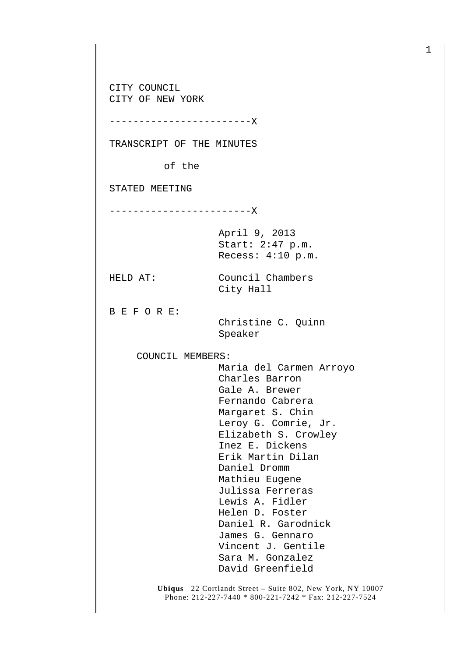CITY COUNCIL CITY OF NEW YORK

TRANSCRIPT OF THE MINUTES

------------------------X

of the

STATED MEETING

------------------------X

April 9, 2013 Start: 2:47 p.m. Recess: 4:10 p.m.

City Hall

HELD AT: Council Chambers

B E F O R E:

 Christine C. Quinn Speaker

COUNCIL MEMBERS:

 Maria del Carmen Arroyo Charles Barron Gale A. Brewer Fernando Cabrera Margaret S. Chin Leroy G. Comrie, Jr. Elizabeth S. Crowley Inez E. Dickens Erik Martin Dilan Daniel Dromm Mathieu Eugene Julissa Ferreras Lewis A. Fidler Helen D. Foster Daniel R. Garodnick James G. Gennaro Vincent J. Gentile Sara M. Gonzalez David Greenfield

**Ubiqus** 22 Cortlandt Street – Suite 802, New York, NY 10007 Phone: 212-227-7440 \* 800-221-7242 \* Fax: 212-227-7524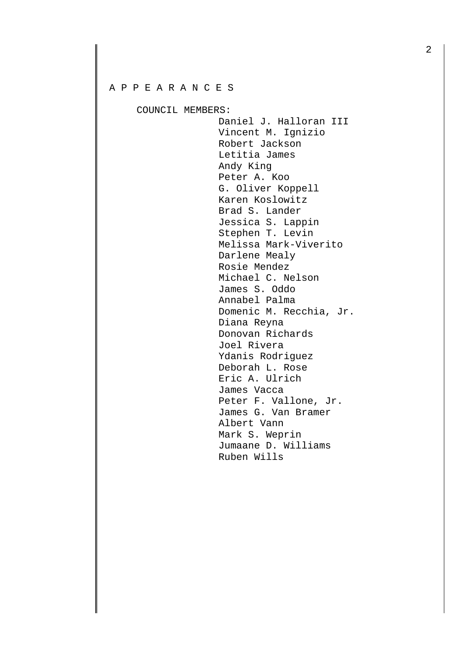## A P P E A R A N C E S

COUNCIL MEMBERS:

Daniel J. Halloran III Vincent M. Ignizio Robert Jackson Letitia James Andy King Peter A. Koo G. Oliver Koppell Karen Koslowitz Brad S. Lander Jessica S. Lappin Stephen T. Levin Melissa Mark-Viverito Darlene Mealy Rosie Mendez Michael C. Nelson James S. Oddo Annabel Palma Domenic M. Recchia, Jr. Diana Reyna Donovan Richards Joel Rivera Ydanis Rodriguez Deborah L. Rose Eric A. Ulrich James Vacca Peter F. Vallone, Jr. James G. Van Bramer Albert Vann Mark S. Weprin Jumaane D. Williams Ruben Wills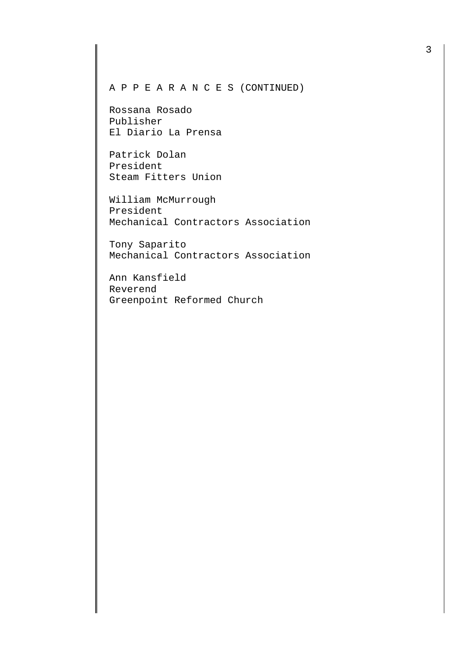A P P E A R A N C E S (CONTINUED)

Rossana Rosado Publisher El Diario La Prensa

Patrick Dolan President Steam Fitters Union

William McMurrough President Mechanical Contractors Association

Tony Saparito Mechanical Contractors Association

Ann Kansfield Reverend Greenpoint Reformed Church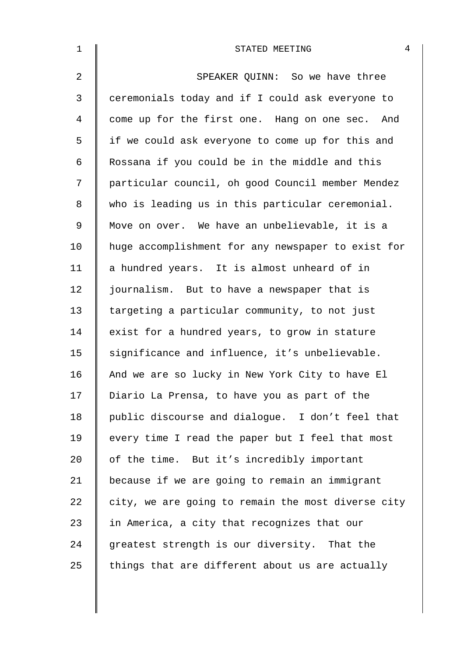| $\mathbf 1$ | 4<br>STATED MEETING                                |
|-------------|----------------------------------------------------|
| 2           | SPEAKER QUINN: So we have three                    |
| 3           | ceremonials today and if I could ask everyone to   |
| 4           | come up for the first one. Hang on one sec. And    |
| 5           | if we could ask everyone to come up for this and   |
| 6           | Rossana if you could be in the middle and this     |
| 7           | particular council, oh good Council member Mendez  |
| 8           | who is leading us in this particular ceremonial.   |
| $\mathsf 9$ | Move on over. We have an unbelievable, it is a     |
| 10          | huge accomplishment for any newspaper to exist for |
| 11          | a hundred years. It is almost unheard of in        |
| 12          | journalism. But to have a newspaper that is        |
| 13          | targeting a particular community, to not just      |
| 14          | exist for a hundred years, to grow in stature      |
| 15          | significance and influence, it's unbelievable.     |
| 16          | And we are so lucky in New York City to have El    |
| 17          | Diario La Prensa, to have you as part of the       |
| 18          | public discourse and dialogue. I don't feel that   |
| 19          | every time I read the paper but I feel that most   |
| 20          | of the time. But it's incredibly important         |
| 21          | because if we are going to remain an immigrant     |
| 22          | city, we are going to remain the most diverse city |
| 23          | in America, a city that recognizes that our        |
| 24          | greatest strength is our diversity. That the       |
| 25          | things that are different about us are actually    |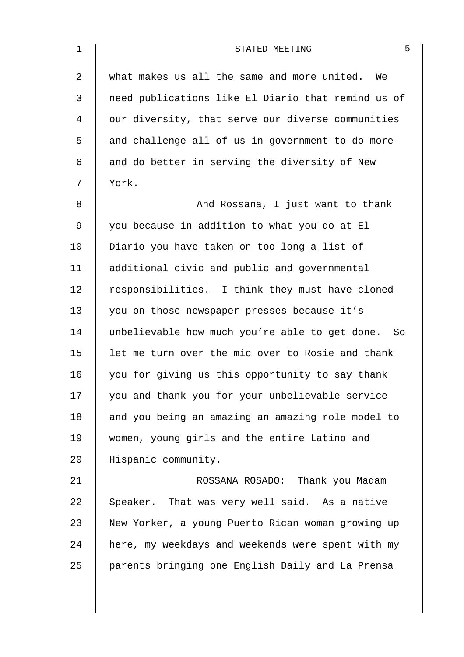| $\mathbf{1}$   | 5<br>STATED MEETING                                |
|----------------|----------------------------------------------------|
| $\overline{a}$ | what makes us all the same and more united. We     |
| 3              | need publications like El Diario that remind us of |
| 4              | our diversity, that serve our diverse communities  |
| 5              | and challenge all of us in government to do more   |
| 6              | and do better in serving the diversity of New      |
| 7              | York.                                              |
| 8              | And Rossana, I just want to thank                  |
| 9              | you because in addition to what you do at El       |
| 10             | Diario you have taken on too long a list of        |
| 11             | additional civic and public and governmental       |
| 12             | responsibilities. I think they must have cloned    |
| 13             | you on those newspaper presses because it's        |
| 14             | unbelievable how much you're able to get done. So  |
| 15             | let me turn over the mic over to Rosie and thank   |
| 16             | you for giving us this opportunity to say thank    |
| 17             | you and thank you for your unbelievable service    |
| 18             | and you being an amazing an amazing role model to  |
| 19             | women, young girls and the entire Latino and       |
| 20             | Hispanic community.                                |
| 21             | ROSSANA ROSADO: Thank you Madam                    |
| 22             | Speaker. That was very well said. As a native      |
| 23             | New Yorker, a young Puerto Rican woman growing up  |
| 24             | here, my weekdays and weekends were spent with my  |
| 25             | parents bringing one English Daily and La Prensa   |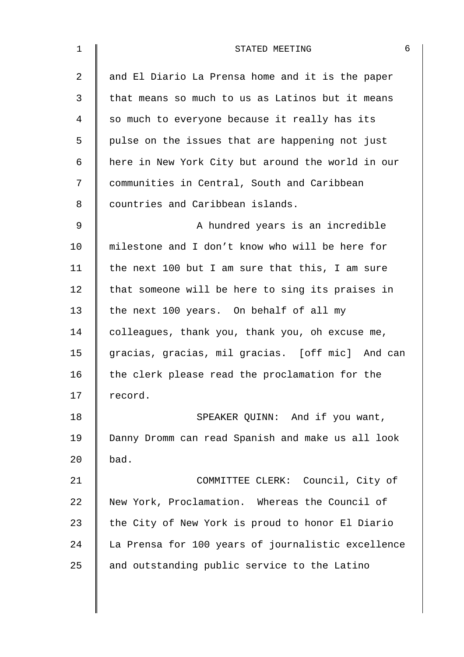| $\mathbf 1$    | 6<br>STATED MEETING                                |
|----------------|----------------------------------------------------|
| $\overline{a}$ | and El Diario La Prensa home and it is the paper   |
| 3              | that means so much to us as Latinos but it means   |
| 4              | so much to everyone because it really has its      |
| 5              | pulse on the issues that are happening not just    |
| 6              | here in New York City but around the world in our  |
| 7              | communities in Central, South and Caribbean        |
| 8              | countries and Caribbean islands.                   |
| 9              | A hundred years is an incredible                   |
| 10             | milestone and I don't know who will be here for    |
| 11             | the next 100 but I am sure that this, I am sure    |
| 12             | that someone will be here to sing its praises in   |
| 13             | the next 100 years. On behalf of all my            |
| 14             | colleagues, thank you, thank you, oh excuse me,    |
| 15             | gracias, gracias, mil gracias. [off mic] And can   |
| 16             | the clerk please read the proclamation for the     |
| 17             | record.                                            |
| 18             | SPEAKER QUINN: And if you want,                    |
| 19             | Danny Dromm can read Spanish and make us all look  |
| 20             | bad.                                               |
| 21             | COMMITTEE CLERK: Council, City of                  |
| 22             | New York, Proclamation. Whereas the Council of     |
| 23             | the City of New York is proud to honor El Diario   |
| 24             | La Prensa for 100 years of journalistic excellence |
| 25             | and outstanding public service to the Latino       |
|                |                                                    |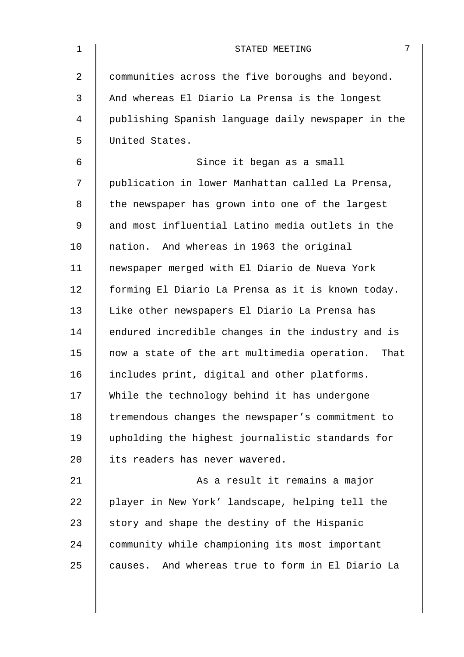| $\mathbf 1$    | 7<br>STATED MEETING                                 |
|----------------|-----------------------------------------------------|
| $\overline{2}$ | communities across the five boroughs and beyond.    |
| 3              | And whereas El Diario La Prensa is the longest      |
| $\overline{4}$ | publishing Spanish language daily newspaper in the  |
| 5              | United States.                                      |
| 6              | Since it began as a small                           |
| 7              | publication in lower Manhattan called La Prensa,    |
| 8              | the newspaper has grown into one of the largest     |
| 9              | and most influential Latino media outlets in the    |
| 10             | nation. And whereas in 1963 the original            |
| 11             | newspaper merged with El Diario de Nueva York       |
| 12             | forming El Diario La Prensa as it is known today.   |
| 13             | Like other newspapers El Diario La Prensa has       |
| 14             | endured incredible changes in the industry and is   |
| 15             | now a state of the art multimedia operation. That   |
| 16             | includes print, digital and other platforms.        |
| 17             | While the technology behind it has undergone        |
| 18             | tremendous changes the newspaper's commitment to    |
| 19             | upholding the highest journalistic standards for    |
| 20             | its readers has never wavered.                      |
| 21             | As a result it remains a major                      |
| 22             | player in New York' landscape, helping tell the     |
| 23             | story and shape the destiny of the Hispanic         |
| 24             | community while championing its most important      |
| 25             | And whereas true to form in El Diario La<br>causes. |
|                |                                                     |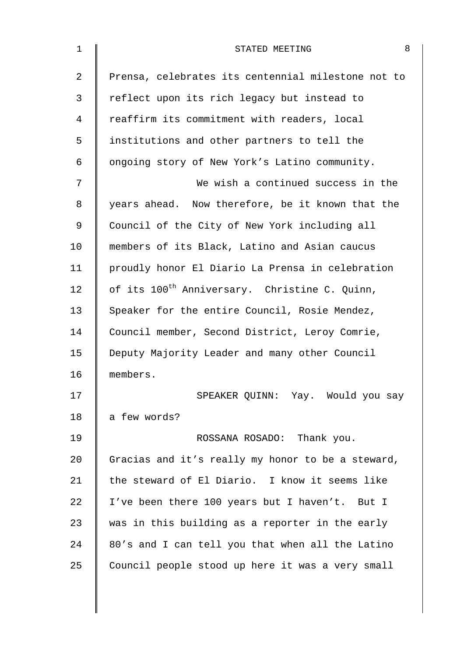| $\mathbf{1}$ | 8<br>STATED MEETING                                       |
|--------------|-----------------------------------------------------------|
| 2            | Prensa, celebrates its centennial milestone not to        |
| 3            | reflect upon its rich legacy but instead to               |
| 4            | reaffirm its commitment with readers, local               |
| 5            | institutions and other partners to tell the               |
| 6            | ongoing story of New York's Latino community.             |
| 7            | We wish a continued success in the                        |
| 8            | years ahead. Now therefore, be it known that the          |
| 9            | Council of the City of New York including all             |
| 10           | members of its Black, Latino and Asian caucus             |
| 11           | proudly honor El Diario La Prensa in celebration          |
| 12           | of its 100 <sup>th</sup> Anniversary. Christine C. Quinn, |
| 13           | Speaker for the entire Council, Rosie Mendez,             |
| 14           | Council member, Second District, Leroy Comrie,            |
| 15           | Deputy Majority Leader and many other Council             |
| 16           | members.                                                  |
| 17           | SPEAKER QUINN: Yay. Would you say                         |
| 18           | a few words?                                              |
| 19           | ROSSANA ROSADO: Thank you.                                |
| 20           | Gracias and it's really my honor to be a steward,         |
| 21           | the steward of El Diario. I know it seems like            |
| 22           | I've been there 100 years but I haven't. But I            |
| 23           | was in this building as a reporter in the early           |
| 24           | 80's and I can tell you that when all the Latino          |
| 25           | Council people stood up here it was a very small          |
|              |                                                           |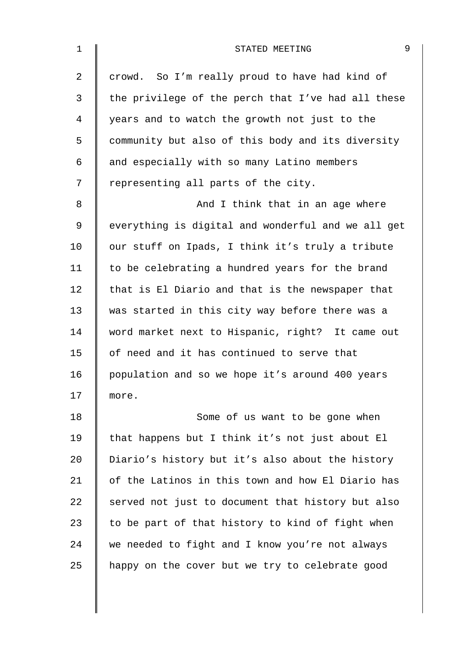| $\mathbf 1$    | 9<br>STATED MEETING                                |
|----------------|----------------------------------------------------|
| $\overline{a}$ | crowd. So I'm really proud to have had kind of     |
| 3              | the privilege of the perch that I've had all these |
| 4              | years and to watch the growth not just to the      |
| 5              | community but also of this body and its diversity  |
| 6              | and especially with so many Latino members         |
| 7              | representing all parts of the city.                |
| 8              | And I think that in an age where                   |
| 9              | everything is digital and wonderful and we all get |
| 10             | our stuff on Ipads, I think it's truly a tribute   |
| 11             | to be celebrating a hundred years for the brand    |
| 12             | that is El Diario and that is the newspaper that   |
| 13             | was started in this city way before there was a    |
| 14             | word market next to Hispanic, right? It came out   |
| 15             | of need and it has continued to serve that         |
| 16             | population and so we hope it's around 400 years    |
| 17             | more.                                              |
| 18             | Some of us want to be gone when                    |
| 19             | that happens but I think it's not just about El    |
| 20             | Diario's history but it's also about the history   |
| 21             | of the Latinos in this town and how El Diario has  |
| 22             | served not just to document that history but also  |
| 23             | to be part of that history to kind of fight when   |
| 24             | we needed to fight and I know you're not always    |
| 25             | happy on the cover but we try to celebrate good    |
|                |                                                    |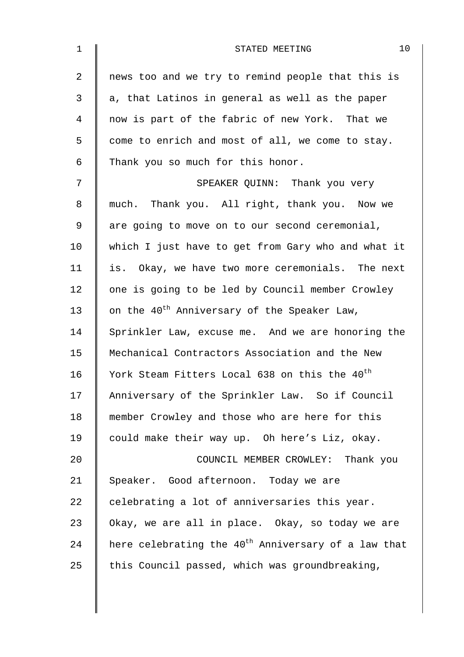| 1  | 10<br>STATED MEETING                                            |
|----|-----------------------------------------------------------------|
| 2  | news too and we try to remind people that this is               |
| 3  | a, that Latinos in general as well as the paper                 |
| 4  | now is part of the fabric of new York. That we                  |
| 5  | come to enrich and most of all, we come to stay.                |
| 6  | Thank you so much for this honor.                               |
| 7  | SPEAKER QUINN: Thank you very                                   |
| 8  | much. Thank you. All right, thank you. Now we                   |
| 9  | are going to move on to our second ceremonial,                  |
| 10 | which I just have to get from Gary who and what it              |
| 11 | is. Okay, we have two more ceremonials. The next                |
| 12 | one is going to be led by Council member Crowley                |
| 13 | on the 40 <sup>th</sup> Anniversary of the Speaker Law,         |
| 14 | Sprinkler Law, excuse me. And we are honoring the               |
| 15 | Mechanical Contractors Association and the New                  |
| 16 | York Steam Fitters Local 638 on this the 40 <sup>th</sup>       |
| 17 | Anniversary of the Sprinkler Law. So if Council                 |
| 18 | member Crowley and those who are here for this                  |
| 19 | could make their way up. Oh here's Liz, okay.                   |
| 20 | COUNCIL MEMBER CROWLEY: Thank you                               |
| 21 | Speaker. Good afternoon. Today we are                           |
| 22 | celebrating a lot of anniversaries this year.                   |
| 23 | Okay, we are all in place. Okay, so today we are                |
| 24 | here celebrating the 40 <sup>th</sup> Anniversary of a law that |
| 25 | this Council passed, which was groundbreaking,                  |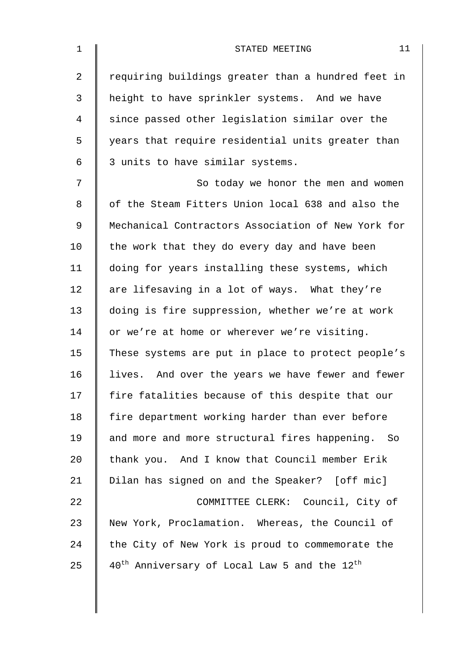|                                                                      | 11 |
|----------------------------------------------------------------------|----|
| requiring buildings greater than a hundred feet in                   |    |
| height to have sprinkler systems. And we have                        |    |
| since passed other legislation similar over the                      |    |
| years that require residential units greater than                    |    |
|                                                                      |    |
| So today we honor the men and women                                  |    |
| of the Steam Fitters Union local 638 and also the                    |    |
| Mechanical Contractors Association of New York for                   |    |
| the work that they do every day and have been                        |    |
| doing for years installing these systems, which                      |    |
| are lifesaving in a lot of ways. What they're                        |    |
| doing is fire suppression, whether we're at work                     |    |
| or we're at home or wherever we're visiting.                         |    |
| These systems are put in place to protect people's                   |    |
| lives. And over the years we have fewer and fewer                    |    |
| fire fatalities because of this despite that our                     |    |
| fire department working harder than ever before                      |    |
| and more and more structural fires happening. So                     |    |
| thank you. And I know that Council member Erik                       |    |
| Dilan has signed on and the Speaker? [off mic]                       |    |
| COMMITTEE CLERK: Council, City of                                    |    |
| New York, Proclamation. Whereas, the Council of                      |    |
| the City of New York is proud to commemorate the                     |    |
| $40^{\text{th}}$ Anniversary of Local Law 5 and the $12^{\text{th}}$ |    |
|                                                                      |    |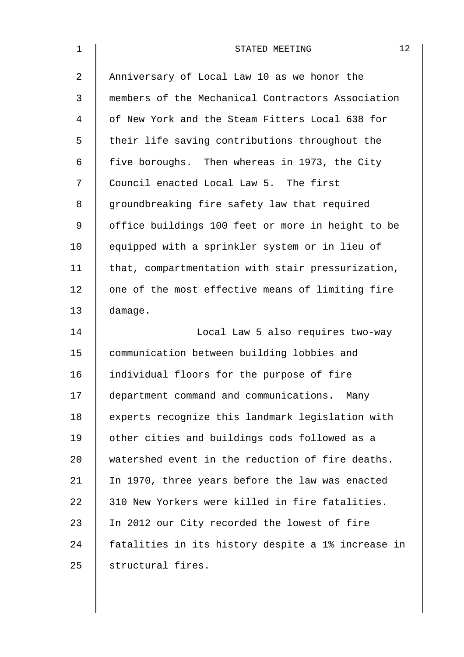| $\mathbf 1$    | 12<br>STATED MEETING                               |
|----------------|----------------------------------------------------|
| $\overline{a}$ | Anniversary of Local Law 10 as we honor the        |
| 3              | members of the Mechanical Contractors Association  |
| 4              | of New York and the Steam Fitters Local 638 for    |
| 5              | their life saving contributions throughout the     |
| 6              | five boroughs. Then whereas in 1973, the City      |
| 7              | Council enacted Local Law 5. The first             |
| 8              | groundbreaking fire safety law that required       |
| 9              | office buildings 100 feet or more in height to be  |
| 10             | equipped with a sprinkler system or in lieu of     |
| 11             | that, compartmentation with stair pressurization,  |
| 12             | one of the most effective means of limiting fire   |
| 13             | damage.                                            |
| 14             | Local Law 5 also requires two-way                  |
| 15             | communication between building lobbies and         |
| 16             | individual floors for the purpose of fire          |
| 17             | department command and communications. Many        |
| 18             | experts recognize this landmark legislation with   |
| 19             | other cities and buildings cods followed as a      |
| 20             | watershed event in the reduction of fire deaths.   |
| 21             | In 1970, three years before the law was enacted    |
| 22             | 310 New Yorkers were killed in fire fatalities.    |
| 23             | In 2012 our City recorded the lowest of fire       |
| 24             | fatalities in its history despite a 1% increase in |
| 25             | structural fires.                                  |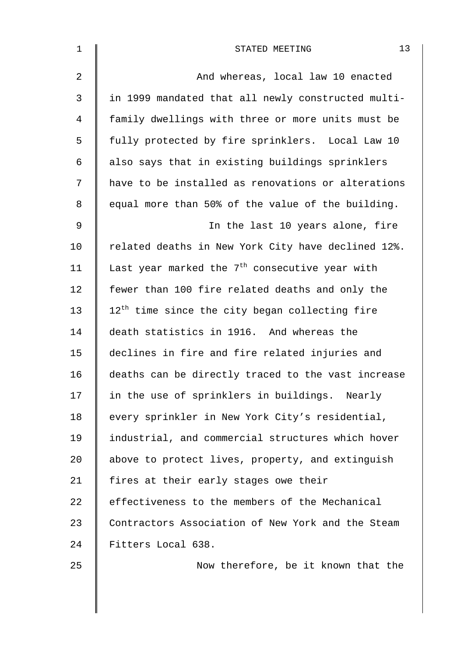| $\mathbf 1$    | 13<br>STATED MEETING                                       |
|----------------|------------------------------------------------------------|
| $\overline{2}$ | And whereas, local law 10 enacted                          |
| $\mathbf{3}$   | in 1999 mandated that all newly constructed multi-         |
| 4              | family dwellings with three or more units must be          |
| 5              | fully protected by fire sprinklers. Local Law 10           |
| 6              | also says that in existing buildings sprinklers            |
| 7              | have to be installed as renovations or alterations         |
| 8              | equal more than 50% of the value of the building.          |
| 9              | In the last 10 years alone, fire                           |
| 10             | related deaths in New York City have declined 12%.         |
| 11             | Last year marked the 7 <sup>th</sup> consecutive year with |
| 12             | fewer than 100 fire related deaths and only the            |
| 13             | 12 <sup>th</sup> time since the city began collecting fire |
| 14             | death statistics in 1916. And whereas the                  |
| 15             | declines in fire and fire related injuries and             |
| 16             | deaths can be directly traced to the vast increase         |
| 17             | in the use of sprinklers in buildings. Nearly              |
| 18             | every sprinkler in New York City's residential,            |
| 19             | industrial, and commercial structures which hover          |
| 20             | above to protect lives, property, and extinguish           |
| 21             | fires at their early stages owe their                      |
| 22             | effectiveness to the members of the Mechanical             |
| 23             | Contractors Association of New York and the Steam          |
| 24             | Fitters Local 638.                                         |
| 25             | Now therefore, be it known that the                        |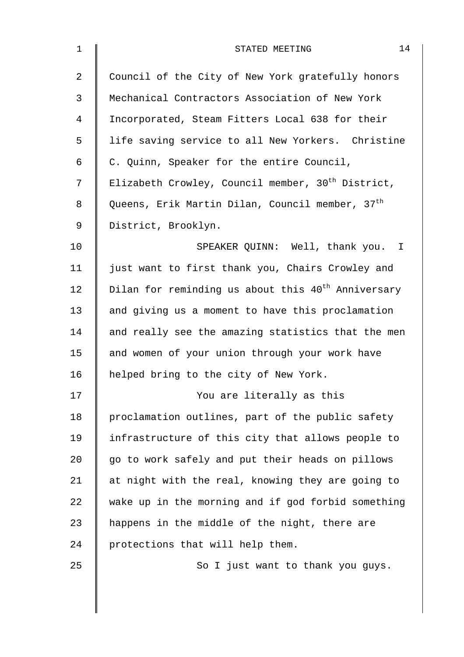| $\mathbf 1$ | 14<br>STATED MEETING                                           |
|-------------|----------------------------------------------------------------|
| 2           | Council of the City of New York gratefully honors              |
| 3           | Mechanical Contractors Association of New York                 |
| 4           | Incorporated, Steam Fitters Local 638 for their                |
| 5           | life saving service to all New Yorkers. Christine              |
| 6           | C. Quinn, Speaker for the entire Council,                      |
| 7           | Elizabeth Crowley, Council member, 30 <sup>th</sup> District,  |
| 8           | Queens, Erik Martin Dilan, Council member, 37 <sup>th</sup>    |
| $\mathsf 9$ | District, Brooklyn.                                            |
| 10          | SPEAKER QUINN: Well, thank you. I                              |
| 11          | just want to first thank you, Chairs Crowley and               |
| 12          | Dilan for reminding us about this 40 <sup>th</sup> Anniversary |
| 13          | and giving us a moment to have this proclamation               |
| 14          | and really see the amazing statistics that the men             |
| 15          | and women of your union through your work have                 |
| 16          | helped bring to the city of New York.                          |
| 17          | You are literally as this                                      |
| 18          | proclamation outlines, part of the public safety               |
| 19          | infrastructure of this city that allows people to              |
| 20          | go to work safely and put their heads on pillows               |
| 21          | at night with the real, knowing they are going to              |
| 22          | wake up in the morning and if god forbid something             |
| 23          | happens in the middle of the night, there are                  |
| 24          | protections that will help them.                               |
| 25          | So I just want to thank you guys.                              |
|             |                                                                |
|             |                                                                |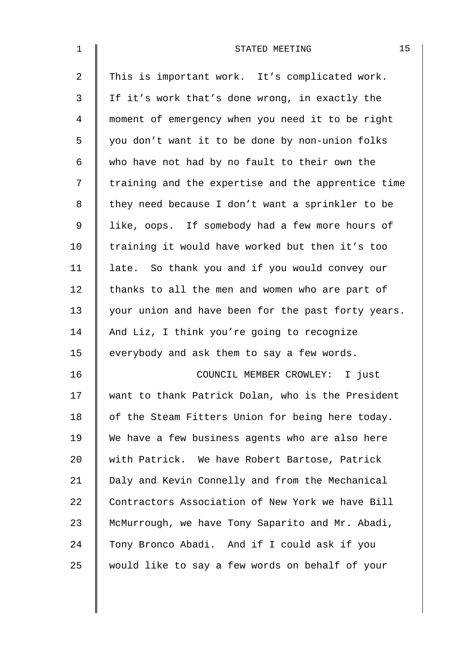| $\mathbf 1$    | 15<br>STATED MEETING                               |
|----------------|----------------------------------------------------|
| $\overline{a}$ | This is important work. It's complicated work.     |
| 3              | If it's work that's done wrong, in exactly the     |
| 4              | moment of emergency when you need it to be right   |
| 5              | you don't want it to be done by non-union folks    |
| 6              | who have not had by no fault to their own the      |
| 7              | training and the expertise and the apprentice time |
| 8              | they need because I don't want a sprinkler to be   |
| 9              | like, oops. If somebody had a few more hours of    |
| 10             | training it would have worked but then it's too    |
| 11             | late. So thank you and if you would convey our     |
| 12             | thanks to all the men and women who are part of    |
| 13             | your union and have been for the past forty years. |
| 14             | And Liz, I think you're going to recognize         |
| 15             | everybody and ask them to say a few words.         |
| 16             | COUNCIL MEMBER CROWLEY: I just                     |
| 17             | want to thank Patrick Dolan, who is the President  |
| 18             | of the Steam Fitters Union for being here today.   |
| 19             | We have a few business agents who are also here    |
| 20             | with Patrick. We have Robert Bartose, Patrick      |
| 21             | Daly and Kevin Connelly and from the Mechanical    |
| 22             | Contractors Association of New York we have Bill   |
| 23             | McMurrough, we have Tony Saparito and Mr. Abadi,   |
| 24             | Tony Bronco Abadi. And if I could ask if you       |
| 25             | would like to say a few words on behalf of your    |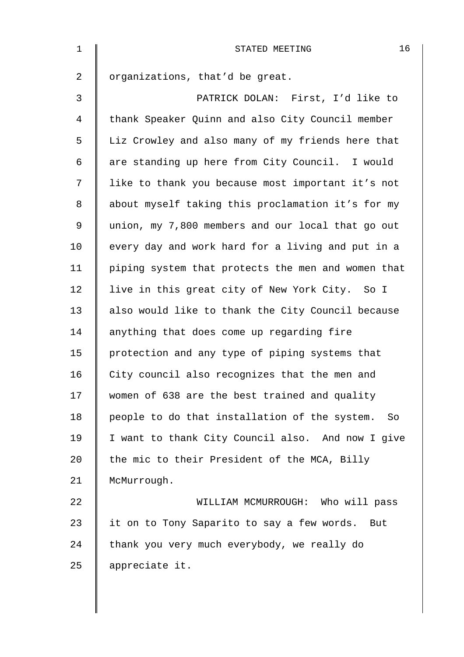| $\mathbf{1}$   | 16<br>STATED MEETING                                |
|----------------|-----------------------------------------------------|
| $\overline{2}$ | organizations, that'd be great.                     |
| 3              | PATRICK DOLAN: First, I'd like to                   |
| 4              | thank Speaker Quinn and also City Council member    |
| 5              | Liz Crowley and also many of my friends here that   |
| 6              | are standing up here from City Council. I would     |
| 7              | like to thank you because most important it's not   |
| 8              | about myself taking this proclamation it's for my   |
| 9              | union, my 7,800 members and our local that go out   |
| 10             | every day and work hard for a living and put in a   |
| 11             | piping system that protects the men and women that  |
| 12             | live in this great city of New York City. So I      |
| 13             | also would like to thank the City Council because   |
| 14             | anything that does come up regarding fire           |
| 15             | protection and any type of piping systems that      |
| 16             | City council also recognizes that the men and       |
| 17             | women of 638 are the best trained and quality       |
| 18             | people to do that installation of the system.<br>So |
| 19             | I want to thank City Council also. And now I give   |
| 20             | the mic to their President of the MCA, Billy        |
| 21             | McMurrough.                                         |
| 22             | WILLIAM MCMURROUGH: Who will pass                   |
| 23             | it on to Tony Saparito to say a few words. But      |
| 24             | thank you very much everybody, we really do         |
| 25             | appreciate it.                                      |
|                |                                                     |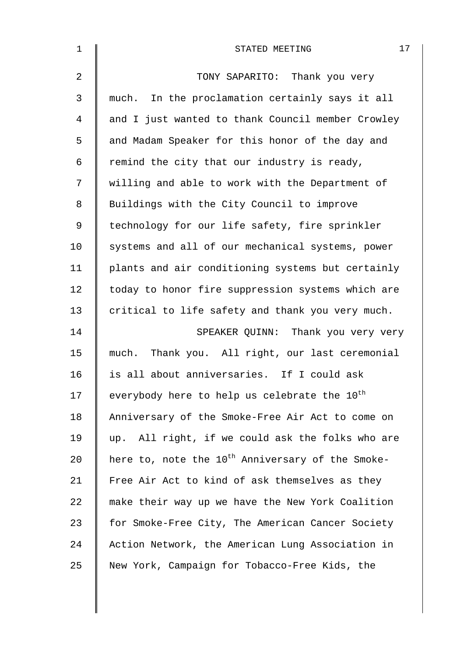| $\mathbf 1$    | 17<br>STATED MEETING                                         |
|----------------|--------------------------------------------------------------|
| $\overline{2}$ | TONY SAPARITO: Thank you very                                |
| 3              | much. In the proclamation certainly says it all              |
| 4              | and I just wanted to thank Council member Crowley            |
| 5              | and Madam Speaker for this honor of the day and              |
| 6              | remind the city that our industry is ready,                  |
| 7              | willing and able to work with the Department of              |
| 8              | Buildings with the City Council to improve                   |
| 9              | technology for our life safety, fire sprinkler               |
| 10             | systems and all of our mechanical systems, power             |
| 11             | plants and air conditioning systems but certainly            |
| 12             | today to honor fire suppression systems which are            |
| 13             | critical to life safety and thank you very much.             |
| 14             | SPEAKER QUINN: Thank you very very                           |
| 15             | much. Thank you. All right, our last ceremonial              |
| 16             | is all about anniversaries. If I could ask                   |
| 17             | everybody here to help us celebrate the 10 <sup>th</sup>     |
| 18             | Anniversary of the Smoke-Free Air Act to come on             |
| 19             | up. All right, if we could ask the folks who are             |
| 20             | here to, note the 10 <sup>th</sup> Anniversary of the Smoke- |
| 21             | Free Air Act to kind of ask themselves as they               |
| 22             | make their way up we have the New York Coalition             |
| 23             | for Smoke-Free City, The American Cancer Society             |
| 24             | Action Network, the American Lung Association in             |
| 25             | New York, Campaign for Tobacco-Free Kids, the                |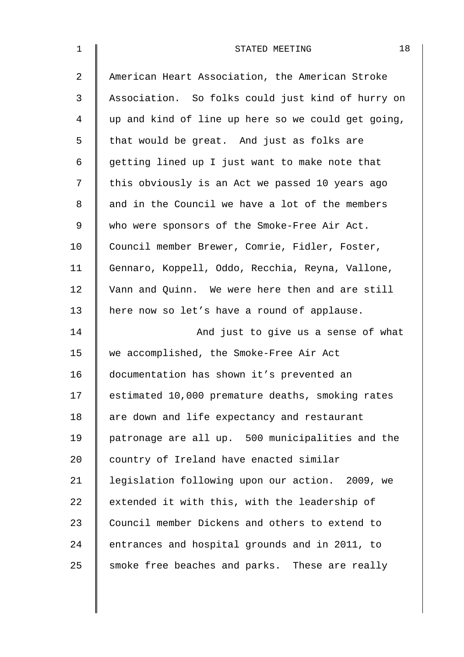| $\mathbf 1$    | 18<br>STATED MEETING                               |
|----------------|----------------------------------------------------|
| $\overline{2}$ | American Heart Association, the American Stroke    |
| 3              | Association. So folks could just kind of hurry on  |
| 4              | up and kind of line up here so we could get going, |
| 5              | that would be great. And just as folks are         |
| 6              | getting lined up I just want to make note that     |
| 7              | this obviously is an Act we passed 10 years ago    |
| 8              | and in the Council we have a lot of the members    |
| 9              | who were sponsors of the Smoke-Free Air Act.       |
| 10             | Council member Brewer, Comrie, Fidler, Foster,     |
| 11             | Gennaro, Koppell, Oddo, Recchia, Reyna, Vallone,   |
| 12             | Vann and Quinn. We were here then and are still    |
| 13             | here now so let's have a round of applause.        |
| 14             | And just to give us a sense of what                |
| 15             | we accomplished, the Smoke-Free Air Act            |
| 16             | documentation has shown it's prevented an          |
| 17             | estimated 10,000 premature deaths, smoking rates   |
| 18             | are down and life expectancy and restaurant        |
| 19             | patronage are all up. 500 municipalities and the   |
| 20             | country of Ireland have enacted similar            |
| 21             | legislation following upon our action. 2009, we    |
| 22             | extended it with this, with the leadership of      |
| 23             | Council member Dickens and others to extend to     |
| 24             | entrances and hospital grounds and in 2011, to     |
| 25             | smoke free beaches and parks. These are really     |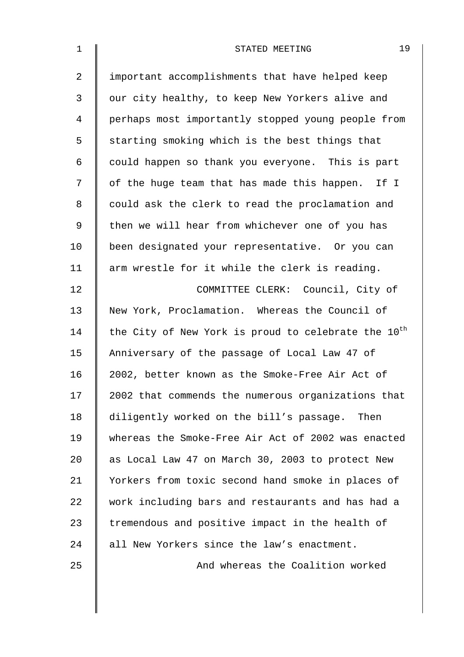| $\mathbf{1}$ | 19<br>STATED MEETING                                            |
|--------------|-----------------------------------------------------------------|
| 2            | important accomplishments that have helped keep                 |
| 3            | our city healthy, to keep New Yorkers alive and                 |
| 4            | perhaps most importantly stopped young people from              |
| 5            | starting smoking which is the best things that                  |
| 6            | could happen so thank you everyone. This is part                |
| 7            | of the huge team that has made this happen. If I                |
| 8            | could ask the clerk to read the proclamation and                |
| $\mathsf 9$  | then we will hear from whichever one of you has                 |
| 10           | been designated your representative. Or you can                 |
| 11           | arm wrestle for it while the clerk is reading.                  |
| 12           | COMMITTEE CLERK: Council, City of                               |
| 13           | New York, Proclamation. Whereas the Council of                  |
| 14           | the City of New York is proud to celebrate the 10 <sup>th</sup> |
| 15           | Anniversary of the passage of Local Law 47 of                   |
| 16           | 2002, better known as the Smoke-Free Air Act of                 |
| 17           | 2002 that commends the numerous organizations that              |
| 18           | diligently worked on the bill's passage. Then                   |
| 19           | whereas the Smoke-Free Air Act of 2002 was enacted              |
| 20           | as Local Law 47 on March 30, 2003 to protect New                |
| 21           | Yorkers from toxic second hand smoke in places of               |
| 22           | work including bars and restaurants and has had a               |
| 23           | tremendous and positive impact in the health of                 |
| 24           | all New Yorkers since the law's enactment.                      |
| 25           | And whereas the Coalition worked                                |
|              |                                                                 |
|              |                                                                 |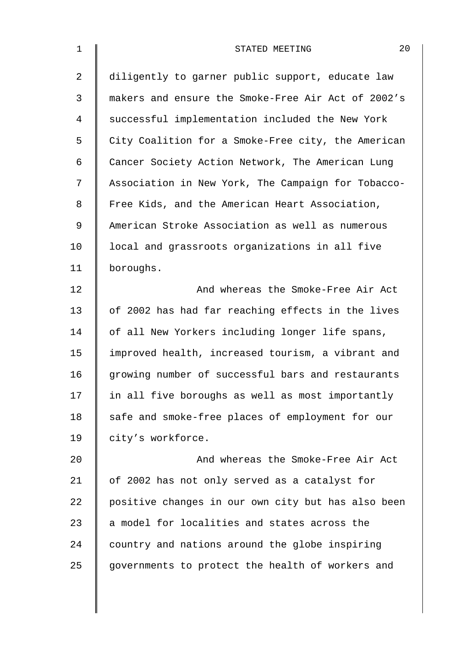| $\mathbf 1$    | 20<br>STATED MEETING                               |
|----------------|----------------------------------------------------|
| $\overline{2}$ | diligently to garner public support, educate law   |
| 3              | makers and ensure the Smoke-Free Air Act of 2002's |
| 4              | successful implementation included the New York    |
| 5              | City Coalition for a Smoke-Free city, the American |
| 6              | Cancer Society Action Network, The American Lung   |
| 7              | Association in New York, The Campaign for Tobacco- |
| 8              | Free Kids, and the American Heart Association,     |
| 9              | American Stroke Association as well as numerous    |
| 10             | local and grassroots organizations in all five     |
| 11             | boroughs.                                          |
| 12             | And whereas the Smoke-Free Air Act                 |
| 13             | of 2002 has had far reaching effects in the lives  |
| 14             | of all New Yorkers including longer life spans,    |
| 15             | improved health, increased tourism, a vibrant and  |
| 16             | growing number of successful bars and restaurants  |
| 17             | in all five boroughs as well as most importantly   |
| 18             | safe and smoke-free places of employment for our   |
| 19             | city's workforce.                                  |
| 20             | And whereas the Smoke-Free Air Act                 |
| 21             | of 2002 has not only served as a catalyst for      |
| 22             | positive changes in our own city but has also been |
| 23             | a model for localities and states across the       |
| 24             | country and nations around the globe inspiring     |
| 25             | governments to protect the health of workers and   |
|                |                                                    |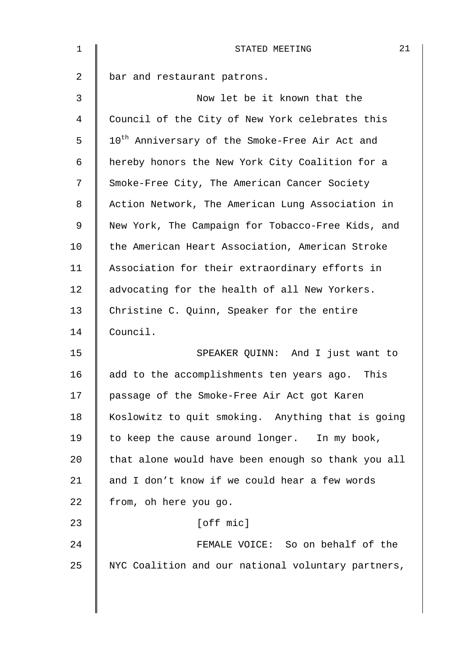| 1  | 21<br>STATED MEETING                                       |
|----|------------------------------------------------------------|
| 2  | bar and restaurant patrons.                                |
| 3  | Now let be it known that the                               |
| 4  | Council of the City of New York celebrates this            |
| 5  | 10 <sup>th</sup> Anniversary of the Smoke-Free Air Act and |
| 6  | hereby honors the New York City Coalition for a            |
| 7  | Smoke-Free City, The American Cancer Society               |
| 8  | Action Network, The American Lung Association in           |
| 9  | New York, The Campaign for Tobacco-Free Kids, and          |
| 10 | the American Heart Association, American Stroke            |
| 11 | Association for their extraordinary efforts in             |
| 12 | advocating for the health of all New Yorkers.              |
| 13 | Christine C. Quinn, Speaker for the entire                 |
| 14 | Council.                                                   |
| 15 | SPEAKER QUINN: And I just want to                          |
| 16 | add to the accomplishments ten years ago. This             |
| 17 | passage of the Smoke-Free Air Act got Karen                |
| 18 | Koslowitz to quit smoking. Anything that is going          |
| 19 | to keep the cause around longer. In my book,               |
| 20 | that alone would have been enough so thank you all         |
| 21 | and I don't know if we could hear a few words              |
| 22 | from, oh here you go.                                      |
| 23 | [off mic]                                                  |
| 24 | FEMALE VOICE: So on behalf of the                          |
| 25 | NYC Coalition and our national voluntary partners,         |
|    |                                                            |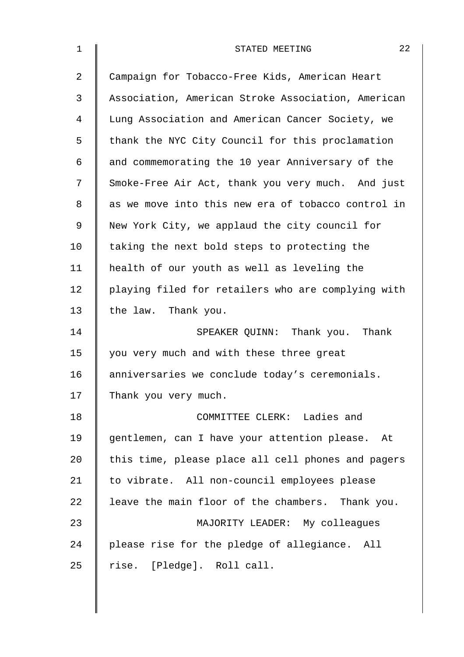| 1              | 22<br>STATED MEETING                               |
|----------------|----------------------------------------------------|
| $\overline{2}$ | Campaign for Tobacco-Free Kids, American Heart     |
| 3              | Association, American Stroke Association, American |
| 4              | Lung Association and American Cancer Society, we   |
| 5              | thank the NYC City Council for this proclamation   |
| 6              | and commemorating the 10 year Anniversary of the   |
| 7              | Smoke-Free Air Act, thank you very much. And just  |
| 8              | as we move into this new era of tobacco control in |
| 9              | New York City, we applaud the city council for     |
| 10             | taking the next bold steps to protecting the       |
| 11             | health of our youth as well as leveling the        |
| 12             | playing filed for retailers who are complying with |
| 13             | the law. Thank you.                                |
| 14             | SPEAKER QUINN: Thank you. Thank                    |
| 15             | you very much and with these three great           |
| 16             | anniversaries we conclude today's ceremonials.     |
| 17             | Thank you very much.                               |
| 18             | COMMITTEE CLERK: Ladies and                        |
| 19             | gentlemen, can I have your attention please. At    |
| 20             | this time, please place all cell phones and pagers |
| 21             | to vibrate. All non-council employees please       |
| 22             | leave the main floor of the chambers. Thank you.   |
| 23             | MAJORITY LEADER: My colleagues                     |
| 24             | please rise for the pledge of allegiance. All      |
| 25             | rise. [Pledge]. Roll call.                         |
|                |                                                    |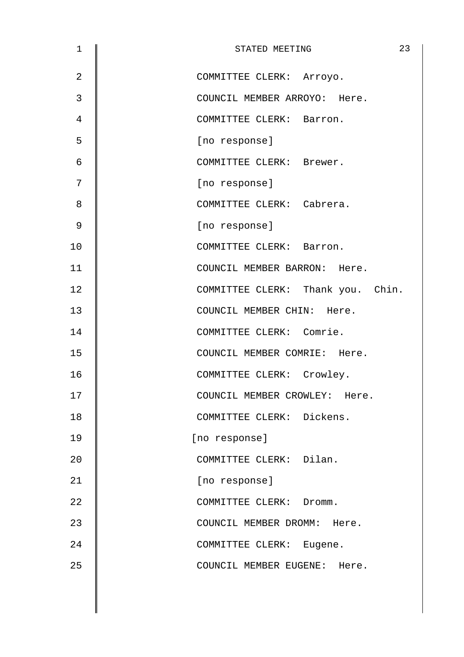| 1              | 23<br>STATED MEETING              |
|----------------|-----------------------------------|
| $\overline{2}$ | COMMITTEE CLERK: Arroyo.          |
| 3              | COUNCIL MEMBER ARROYO: Here.      |
| 4              | COMMITTEE CLERK: Barron.          |
| 5              | [no response]                     |
| 6              | COMMITTEE CLERK: Brewer.          |
| 7              | [no response]                     |
| 8              | COMMITTEE CLERK: Cabrera.         |
| $\mathsf 9$    | [no response]                     |
| 10             | COMMITTEE CLERK: Barron.          |
| 11             | COUNCIL MEMBER BARRON: Here.      |
| 12             | COMMITTEE CLERK: Thank you. Chin. |
| 13             | COUNCIL MEMBER CHIN: Here.        |
| 14             | COMMITTEE CLERK: Comrie.          |
| 15             | COUNCIL MEMBER COMRIE: Here.      |
| 16             | COMMITTEE CLERK: Crowley.         |
| 17             | COUNCIL MEMBER CROWLEY: Here.     |
| 18             | COMMITTEE CLERK: Dickens.         |
| 19             | [no response]                     |
| 20             | COMMITTEE CLERK: Dilan.           |
| 21             | [no response]                     |
| 22             | COMMITTEE CLERK: Dromm.           |
| 23             | COUNCIL MEMBER DROMM: Here.       |
| 24             | COMMITTEE CLERK: Eugene.          |
| 25             | COUNCIL MEMBER EUGENE: Here.      |
|                |                                   |
|                |                                   |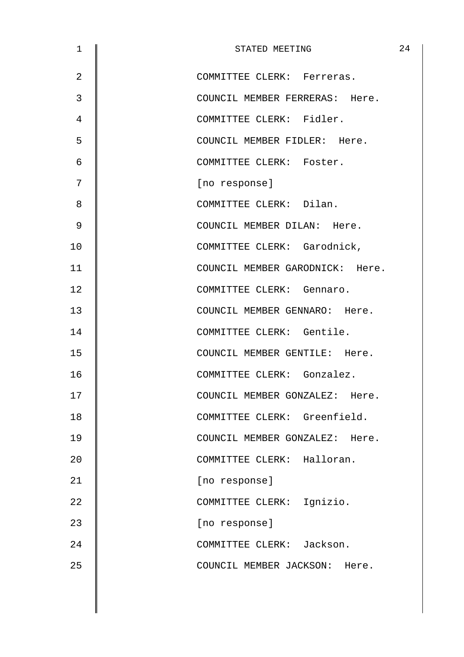| $\mathbf 1$    | STATED MEETING                  | 24 |
|----------------|---------------------------------|----|
| $\overline{2}$ | COMMITTEE CLERK: Ferreras.      |    |
| 3              | COUNCIL MEMBER FERRERAS: Here.  |    |
| 4              | COMMITTEE CLERK: Fidler.        |    |
| 5              | COUNCIL MEMBER FIDLER: Here.    |    |
| 6              | COMMITTEE CLERK: Foster.        |    |
| 7              | [no response]                   |    |
| 8              | COMMITTEE CLERK: Dilan.         |    |
| $\mathsf 9$    | COUNCIL MEMBER DILAN: Here.     |    |
| 10             | COMMITTEE CLERK: Garodnick,     |    |
| 11             | COUNCIL MEMBER GARODNICK: Here. |    |
| 12             | COMMITTEE CLERK: Gennaro.       |    |
| 13             | COUNCIL MEMBER GENNARO: Here.   |    |
| 14             | COMMITTEE CLERK: Gentile.       |    |
| 15             | COUNCIL MEMBER GENTILE: Here.   |    |
| 16             | COMMITTEE CLERK: Gonzalez.      |    |
| 17             | COUNCIL MEMBER GONZALEZ: Here.  |    |
| 18             | COMMITTEE CLERK: Greenfield.    |    |
| 19             | COUNCIL MEMBER GONZALEZ: Here.  |    |
| 20             | COMMITTEE CLERK: Halloran.      |    |
| 21             | [no response]                   |    |
| 22             | COMMITTEE CLERK: Ignizio.       |    |
| 23             | [no response]                   |    |
| 24             | COMMITTEE CLERK: Jackson.       |    |
| 25             | COUNCIL MEMBER JACKSON: Here.   |    |
|                |                                 |    |
|                |                                 |    |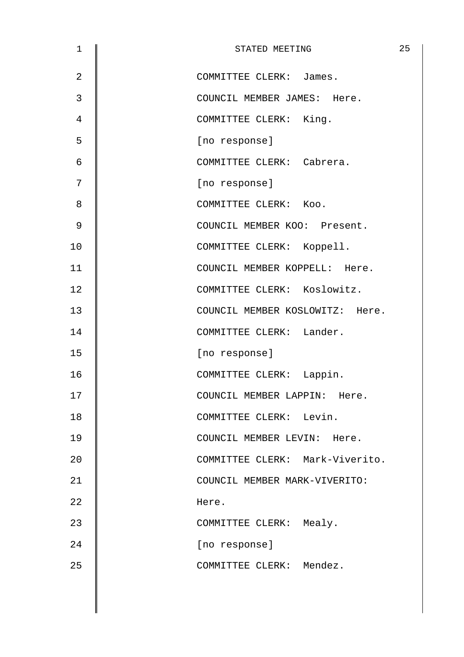| $\mathbf 1$    | STATED MEETING                  | 25 |
|----------------|---------------------------------|----|
| $\overline{2}$ | COMMITTEE CLERK: James.         |    |
| 3              | COUNCIL MEMBER JAMES: Here.     |    |
| 4              | COMMITTEE CLERK: King.          |    |
| 5              | [no response]                   |    |
| 6              | COMMITTEE CLERK: Cabrera.       |    |
| 7              | [no response]                   |    |
| 8              | COMMITTEE CLERK: Koo.           |    |
| $\mathsf 9$    | COUNCIL MEMBER KOO: Present.    |    |
| 10             | COMMITTEE CLERK: Koppell.       |    |
| 11             | COUNCIL MEMBER KOPPELL: Here.   |    |
| 12             | COMMITTEE CLERK: Koslowitz.     |    |
| 13             | COUNCIL MEMBER KOSLOWITZ: Here. |    |
| 14             | COMMITTEE CLERK: Lander.        |    |
| 15             | [no response]                   |    |
| 16             | COMMITTEE CLERK: Lappin.        |    |
| 17             | COUNCIL MEMBER LAPPIN: Here.    |    |
| 18             | COMMITTEE CLERK: Levin.         |    |
| 19             | COUNCIL MEMBER LEVIN: Here.     |    |
| 20             | COMMITTEE CLERK: Mark-Viverito. |    |
| 21             | COUNCIL MEMBER MARK-VIVERITO:   |    |
| 22             | Here.                           |    |
| 23             | COMMITTEE CLERK: Mealy.         |    |
| 24             | [no response]                   |    |
| 25             | COMMITTEE CLERK: Mendez.        |    |
|                |                                 |    |
|                |                                 |    |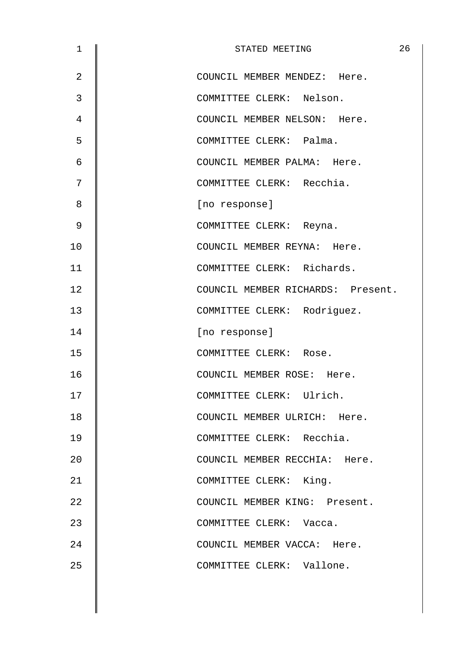| $\mathbf 1$    | 26<br>STATED MEETING              |
|----------------|-----------------------------------|
| $\overline{2}$ | COUNCIL MEMBER MENDEZ: Here.      |
| 3              | COMMITTEE CLERK: Nelson.          |
| 4              | COUNCIL MEMBER NELSON: Here.      |
| 5              | COMMITTEE CLERK: Palma.           |
| 6              | COUNCIL MEMBER PALMA: Here.       |
| 7              | COMMITTEE CLERK: Recchia.         |
| 8              | [no response]                     |
| $\mathsf 9$    | COMMITTEE CLERK: Reyna.           |
| 10             | COUNCIL MEMBER REYNA: Here.       |
| 11             | COMMITTEE CLERK: Richards.        |
| 12             | COUNCIL MEMBER RICHARDS: Present. |
| 13             | COMMITTEE CLERK: Rodriguez.       |
| 14             | [no response]                     |
| 15             | COMMITTEE CLERK: Rose.            |
| 16             | COUNCIL MEMBER ROSE: Here.        |
| 17             | COMMITTEE CLERK: Ulrich.          |
| 18             | COUNCIL MEMBER ULRICH: Here.      |
| 19             | COMMITTEE CLERK: Recchia.         |
| 20             | COUNCIL MEMBER RECCHIA: Here.     |
| 21             | COMMITTEE CLERK: King.            |
| 22             | COUNCIL MEMBER KING: Present.     |
| 23             | COMMITTEE CLERK: Vacca.           |
| 24             | COUNCIL MEMBER VACCA: Here.       |
| 25             | COMMITTEE CLERK: Vallone.         |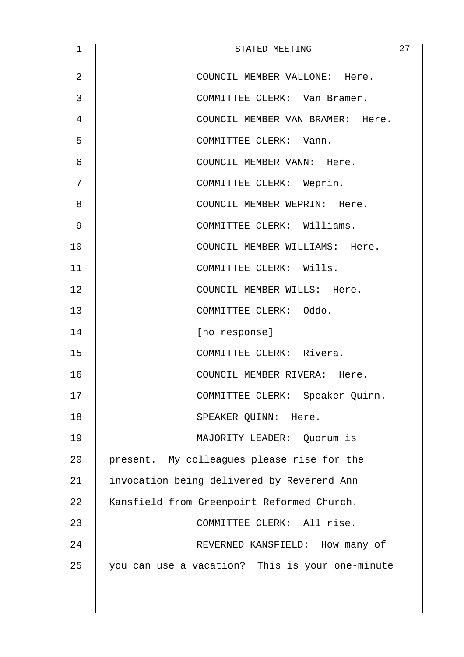| 1              | STATED MEETING                                  | 27 |
|----------------|-------------------------------------------------|----|
| $\overline{2}$ | COUNCIL MEMBER VALLONE: Here.                   |    |
| 3              | COMMITTEE CLERK: Van Bramer.                    |    |
| 4              | COUNCIL MEMBER VAN BRAMER: Here.                |    |
| 5              | COMMITTEE CLERK: Vann.                          |    |
| 6              | COUNCIL MEMBER VANN: Here.                      |    |
| 7              | COMMITTEE CLERK: Weprin.                        |    |
| 8              | COUNCIL MEMBER WEPRIN: Here.                    |    |
| 9              | COMMITTEE CLERK: Williams.                      |    |
| 10             | COUNCIL MEMBER WILLIAMS: Here.                  |    |
| 11             | COMMITTEE CLERK: Wills.                         |    |
| 12             | COUNCIL MEMBER WILLS: Here.                     |    |
| 13             | COMMITTEE CLERK: Oddo.                          |    |
| 14             | [no response]                                   |    |
| 15             | COMMITTEE CLERK: Rivera.                        |    |
| 16             | COUNCIL MEMBER RIVERA: Here.                    |    |
| 17             | COMMITTEE CLERK: Speaker Quinn.                 |    |
| 18             | SPEAKER QUINN: Here.                            |    |
| 19             | MAJORITY LEADER: Ouorum is                      |    |
| 20             | present. My colleagues please rise for the      |    |
| 21             | invocation being delivered by Reverend Ann      |    |
| 22             | Kansfield from Greenpoint Reformed Church.      |    |
| 23             | COMMITTEE CLERK: All rise.                      |    |
| 24             | REVERNED KANSFIELD: How many of                 |    |
| 25             | you can use a vacation? This is your one-minute |    |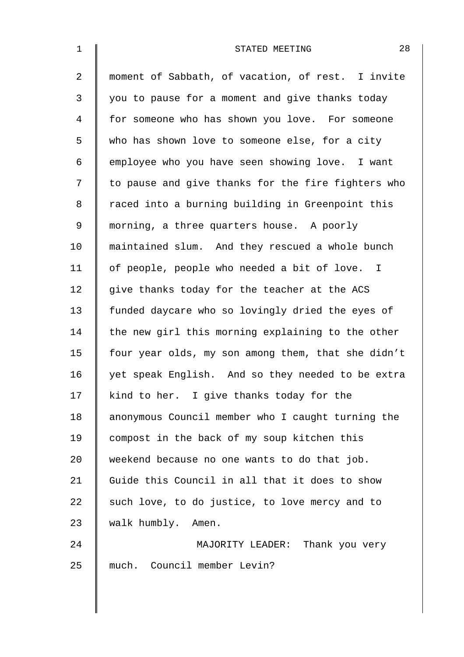| $\mathbf{1}$   | 28<br>STATED MEETING                               |
|----------------|----------------------------------------------------|
| $\overline{a}$ | moment of Sabbath, of vacation, of rest. I invite  |
| 3              | you to pause for a moment and give thanks today    |
| 4              | for someone who has shown you love. For someone    |
| 5              | who has shown love to someone else, for a city     |
| 6              | employee who you have seen showing love. I want    |
| 7              | to pause and give thanks for the fire fighters who |
| 8              | raced into a burning building in Greenpoint this   |
| $\mathsf 9$    | morning, a three quarters house. A poorly          |
| 10             | maintained slum. And they rescued a whole bunch    |
| 11             | of people, people who needed a bit of love. I      |
| 12             | give thanks today for the teacher at the ACS       |
| 13             | funded daycare who so lovingly dried the eyes of   |
| 14             | the new girl this morning explaining to the other  |
| 15             | four year olds, my son among them, that she didn't |
| 16             | yet speak English. And so they needed to be extra  |
| 17             | kind to her. I give thanks today for the           |
| 18             | anonymous Council member who I caught turning the  |
| 19             | compost in the back of my soup kitchen this        |
| 20             | weekend because no one wants to do that job.       |
| 21             | Guide this Council in all that it does to show     |
| 22             | such love, to do justice, to love mercy and to     |
| 23             | walk humbly. Amen.                                 |
| 24             | MAJORITY LEADER: Thank you very                    |
| 25             | much. Council member Levin?                        |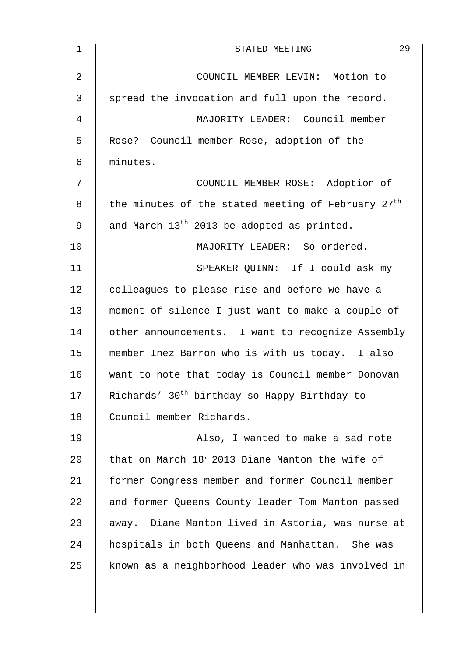| COUNCIL MEMBER LEVIN: Motion to<br>spread the invocation and full upon the record.<br>MAJORITY LEADER: Council member<br>Rose? Council member Rose, adoption of the |
|---------------------------------------------------------------------------------------------------------------------------------------------------------------------|
|                                                                                                                                                                     |
|                                                                                                                                                                     |
|                                                                                                                                                                     |
|                                                                                                                                                                     |
| minutes.                                                                                                                                                            |
| COUNCIL MEMBER ROSE: Adoption of                                                                                                                                    |
| the minutes of the stated meeting of February 27 <sup>th</sup>                                                                                                      |
| and March 13 <sup>th</sup> 2013 be adopted as printed.                                                                                                              |
| MAJORITY LEADER: So ordered.                                                                                                                                        |
| SPEAKER QUINN: If I could ask my                                                                                                                                    |
| colleagues to please rise and before we have a                                                                                                                      |
| moment of silence I just want to make a couple of                                                                                                                   |
| other announcements. I want to recognize Assembly                                                                                                                   |
| member Inez Barron who is with us today. I also                                                                                                                     |
| want to note that today is Council member Donovan                                                                                                                   |
| Richards' 30 <sup>th</sup> birthday so Happy Birthday to                                                                                                            |
| Council member Richards.                                                                                                                                            |
| Also, I wanted to make a sad note                                                                                                                                   |
| that on March 18' 2013 Diane Manton the wife of                                                                                                                     |
| former Congress member and former Council member                                                                                                                    |
| and former Queens County leader Tom Manton passed                                                                                                                   |
| away. Diane Manton lived in Astoria, was nurse at                                                                                                                   |
| hospitals in both Queens and Manhattan. She was                                                                                                                     |
|                                                                                                                                                                     |
|                                                                                                                                                                     |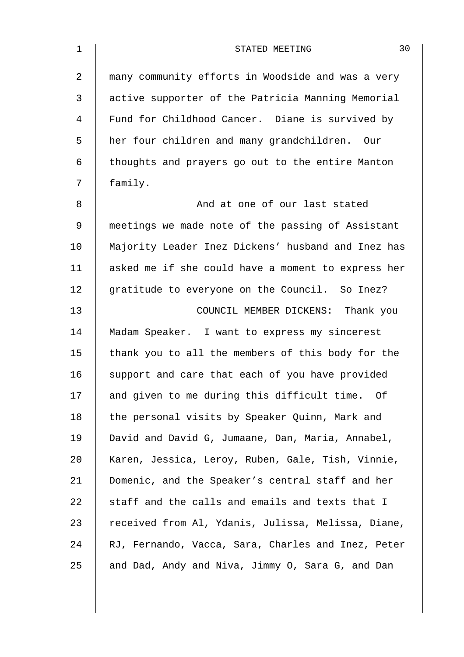| $\mathbf 1$    | 30<br>STATED MEETING                               |
|----------------|----------------------------------------------------|
| $\overline{2}$ | many community efforts in Woodside and was a very  |
| 3              | active supporter of the Patricia Manning Memorial  |
| 4              | Fund for Childhood Cancer. Diane is survived by    |
| 5              | her four children and many grandchildren. Our      |
| 6              | thoughts and prayers go out to the entire Manton   |
| 7              | family.                                            |
| 8              | And at one of our last stated                      |
| $\mathsf 9$    | meetings we made note of the passing of Assistant  |
| 10             | Majority Leader Inez Dickens' husband and Inez has |
| 11             | asked me if she could have a moment to express her |
| 12             | gratitude to everyone on the Council. So Inez?     |
| 13             | COUNCIL MEMBER DICKENS: Thank you                  |
| 14             | Madam Speaker. I want to express my sincerest      |
| 15             | thank you to all the members of this body for the  |
| 16             | support and care that each of you have provided    |
| 17             | and given to me during this difficult time. Of     |
| 18             | the personal visits by Speaker Quinn, Mark and     |
| 19             | David and David G, Jumaane, Dan, Maria, Annabel,   |
| 20             | Karen, Jessica, Leroy, Ruben, Gale, Tish, Vinnie,  |
| 21             | Domenic, and the Speaker's central staff and her   |
| 22             | staff and the calls and emails and texts that I    |
| 23             | received from Al, Ydanis, Julissa, Melissa, Diane, |
| 24             | RJ, Fernando, Vacca, Sara, Charles and Inez, Peter |
| 25             | and Dad, Andy and Niva, Jimmy O, Sara G, and Dan   |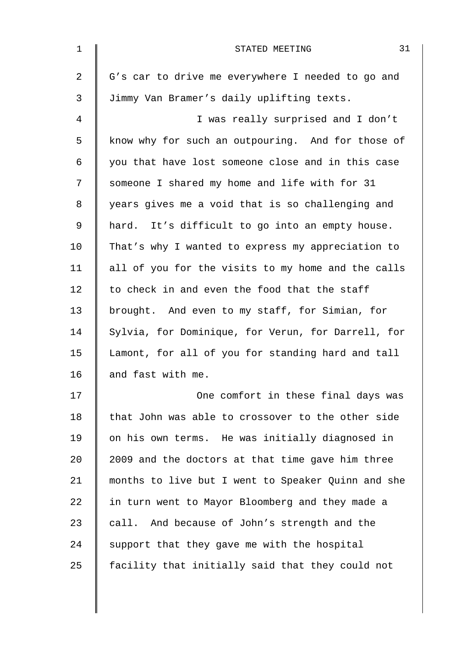| 1  | 31<br>STATED MEETING                               |
|----|----------------------------------------------------|
| 2  | G's car to drive me everywhere I needed to go and  |
| 3  | Jimmy Van Bramer's daily uplifting texts.          |
| 4  | I was really surprised and I don't                 |
| 5  | know why for such an outpouring. And for those of  |
| 6  | you that have lost someone close and in this case  |
| 7  | someone I shared my home and life with for 31      |
| 8  | years gives me a void that is so challenging and   |
| 9  | hard. It's difficult to go into an empty house.    |
| 10 | That's why I wanted to express my appreciation to  |
| 11 | all of you for the visits to my home and the calls |
| 12 | to check in and even the food that the staff       |
| 13 | brought. And even to my staff, for Simian, for     |
| 14 | Sylvia, for Dominique, for Verun, for Darrell, for |
| 15 | Lamont, for all of you for standing hard and tall  |
| 16 | and fast with me.                                  |
| 17 | One comfort in these final days was                |
| 18 | that John was able to crossover to the other side  |
| 19 | on his own terms. He was initially diagnosed in    |
| 20 | 2009 and the doctors at that time gave him three   |
| 21 | months to live but I went to Speaker Quinn and she |
| 22 | in turn went to Mayor Bloomberg and they made a    |
| 23 | call. And because of John's strength and the       |
| 24 | support that they gave me with the hospital        |
| 25 | facility that initially said that they could not   |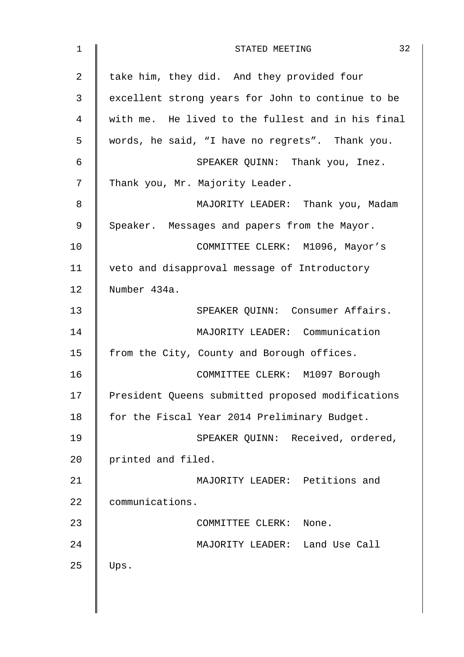| $\mathbf 1$    | 32<br>STATED MEETING                              |
|----------------|---------------------------------------------------|
| $\overline{a}$ | take him, they did. And they provided four        |
| 3              | excellent strong years for John to continue to be |
| 4              | with me. He lived to the fullest and in his final |
| 5              | words, he said, "I have no regrets". Thank you.   |
| 6              | SPEAKER QUINN: Thank you, Inez.                   |
| 7              | Thank you, Mr. Majority Leader.                   |
| 8              | MAJORITY LEADER: Thank you, Madam                 |
| $\mathsf 9$    | Speaker. Messages and papers from the Mayor.      |
| 10             | COMMITTEE CLERK: M1096, Mayor's                   |
| 11             | veto and disapproval message of Introductory      |
| 12             | Number 434a.                                      |
| 13             | SPEAKER QUINN: Consumer Affairs.                  |
| 14             | MAJORITY LEADER: Communication                    |
| 15             | from the City, County and Borough offices.        |
| 16             | COMMITTEE CLERK: M1097 Borough                    |
| 17             | President Queens submitted proposed modifications |
| 18             | for the Fiscal Year 2014 Preliminary Budget.      |
| 19             | SPEAKER QUINN: Received, ordered,                 |
| 20             | printed and filed.                                |
| 21             | MAJORITY LEADER: Petitions and                    |
| 22             | communications.                                   |
| 23             | COMMITTEE CLERK:<br>None.                         |
| 24             | MAJORITY LEADER: Land Use Call                    |
| 25             | Ups.                                              |
|                |                                                   |
|                |                                                   |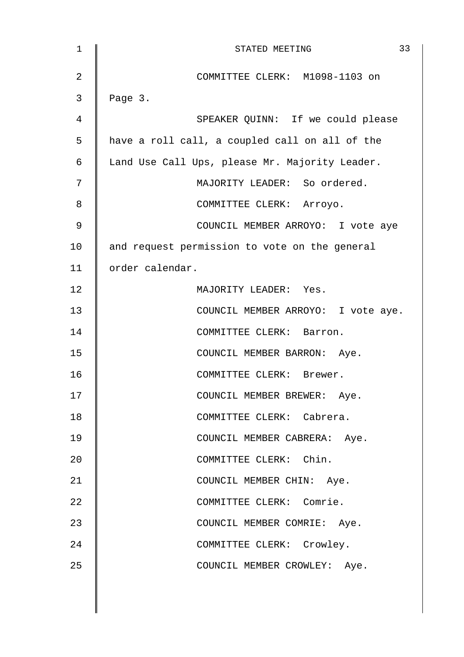| $\mathbf 1$ | 33<br>STATED MEETING                           |
|-------------|------------------------------------------------|
| 2           | COMMITTEE CLERK: M1098-1103 on                 |
| 3           | Page 3.                                        |
| 4           | SPEAKER QUINN: If we could please              |
| 5           | have a roll call, a coupled call on all of the |
| 6           | Land Use Call Ups, please Mr. Majority Leader. |
| 7           | MAJORITY LEADER: So ordered.                   |
| 8           | COMMITTEE CLERK: Arroyo.                       |
| 9           | COUNCIL MEMBER ARROYO: I vote aye              |
| 10          | and request permission to vote on the general  |
| 11          | order calendar.                                |
| 12          | MAJORITY LEADER: Yes.                          |
| 13          | COUNCIL MEMBER ARROYO: I vote aye.             |
| 14          | COMMITTEE CLERK: Barron.                       |
| 15          | COUNCIL MEMBER BARRON: Aye.                    |
| 16          | COMMITTEE CLERK: Brewer.                       |
| 17          | COUNCIL MEMBER BREWER: Aye.                    |
| 18          | COMMITTEE CLERK: Cabrera.                      |
| 19          | COUNCIL MEMBER CABRERA: Aye.                   |
| 20          | COMMITTEE CLERK: Chin.                         |
| 21          | COUNCIL MEMBER CHIN: Aye.                      |
| 22          | COMMITTEE CLERK: Comrie.                       |
| 23          | COUNCIL MEMBER COMRIE: Aye.                    |
| 24          | COMMITTEE CLERK: Crowley.                      |
| 25          | COUNCIL MEMBER CROWLEY: Aye.                   |
|             |                                                |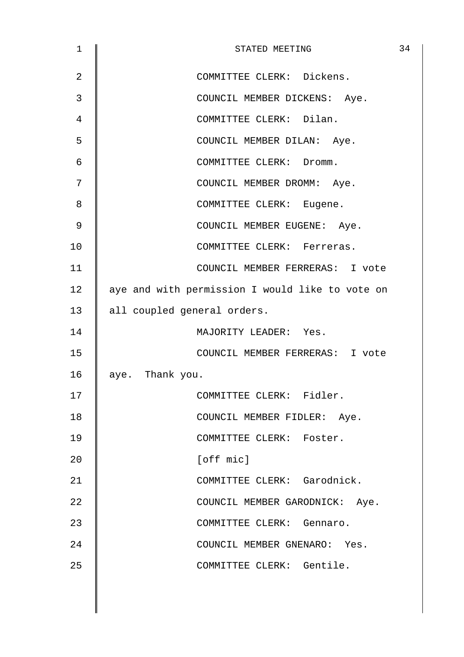| 1  | STATED MEETING                                  | 34 |
|----|-------------------------------------------------|----|
| 2  | COMMITTEE CLERK: Dickens.                       |    |
| 3  | COUNCIL MEMBER DICKENS: Aye.                    |    |
| 4  | COMMITTEE CLERK: Dilan.                         |    |
| 5  | COUNCIL MEMBER DILAN: Aye.                      |    |
| 6  | COMMITTEE CLERK: Dromm.                         |    |
| 7  | COUNCIL MEMBER DROMM: Aye.                      |    |
| 8  | COMMITTEE CLERK: Eugene.                        |    |
| 9  | COUNCIL MEMBER EUGENE: Aye.                     |    |
| 10 | COMMITTEE CLERK: Ferreras.                      |    |
| 11 | COUNCIL MEMBER FERRERAS: I vote                 |    |
| 12 | aye and with permission I would like to vote on |    |
| 13 | all coupled general orders.                     |    |
| 14 | MAJORITY LEADER: Yes.                           |    |
| 15 | COUNCIL MEMBER FERRERAS: I vote                 |    |
| 16 | aye. Thank you.                                 |    |
| 17 | COMMITTEE CLERK: Fidler.                        |    |
| 18 | COUNCIL MEMBER FIDLER: Aye.                     |    |
| 19 | COMMITTEE CLERK: Foster.                        |    |
| 20 | [off mic]                                       |    |
| 21 | COMMITTEE CLERK: Garodnick.                     |    |
| 22 | COUNCIL MEMBER GARODNICK: Aye.                  |    |
| 23 | COMMITTEE CLERK: Gennaro.                       |    |
| 24 | COUNCIL MEMBER GNENARO: Yes.                    |    |
| 25 | COMMITTEE CLERK: Gentile.                       |    |
|    |                                                 |    |
|    |                                                 |    |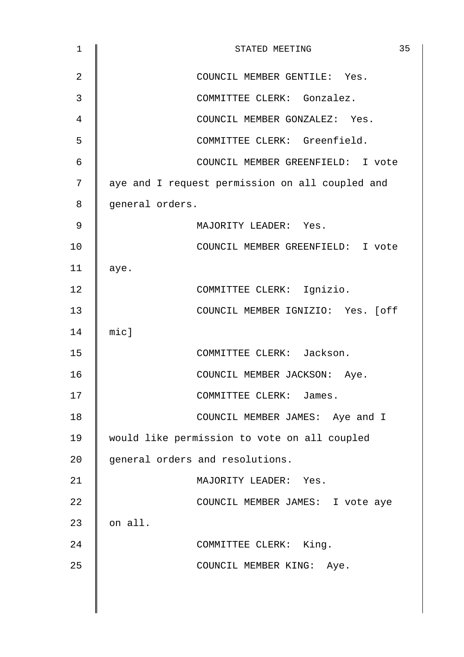| $\mathbf{1}$ | 35<br>STATED MEETING                            |
|--------------|-------------------------------------------------|
| 2            | COUNCIL MEMBER GENTILE: Yes.                    |
| 3            | COMMITTEE CLERK: Gonzalez.                      |
| 4            | COUNCIL MEMBER GONZALEZ: Yes.                   |
| 5            | COMMITTEE CLERK: Greenfield.                    |
| 6            | COUNCIL MEMBER GREENFIELD: I vote               |
| 7            | aye and I request permission on all coupled and |
| 8            | general orders.                                 |
| 9            | MAJORITY LEADER: Yes.                           |
| 10           | COUNCIL MEMBER GREENFIELD: I vote               |
| 11           | aye.                                            |
| 12           | COMMITTEE CLERK: Ignizio.                       |
| 13           | COUNCIL MEMBER IGNIZIO: Yes. [off               |
| 14           | $mid$ ]                                         |
| 15           | COMMITTEE CLERK: Jackson.                       |
| 16           | COUNCIL MEMBER JACKSON: Aye.                    |
| 17           | COMMITTEE CLERK:<br>James.                      |
| 18           | COUNCIL MEMBER JAMES: Aye and I                 |
| 19           | would like permission to vote on all coupled    |
| 20           | general orders and resolutions.                 |
| 21           | MAJORITY LEADER: Yes.                           |
| 22           | COUNCIL MEMBER JAMES: I vote aye                |
| 23           | on all.                                         |
| 24           | COMMITTEE CLERK: King.                          |
| 25           | COUNCIL MEMBER KING: Aye.                       |
|              |                                                 |
|              |                                                 |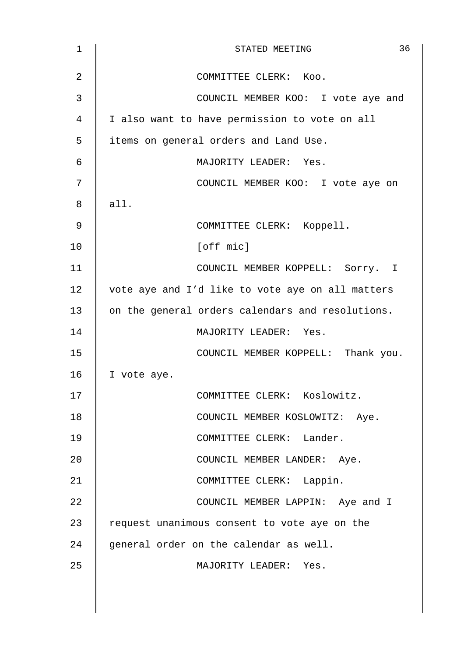| $\mathbf 1$ | 36<br>STATED MEETING                             |
|-------------|--------------------------------------------------|
| 2           | COMMITTEE CLERK: Koo.                            |
| 3           | COUNCIL MEMBER KOO: I vote aye and               |
| 4           | I also want to have permission to vote on all    |
| 5           | items on general orders and Land Use.            |
| 6           | MAJORITY LEADER: Yes.                            |
| 7           | COUNCIL MEMBER KOO: I vote aye on                |
| 8           | all.                                             |
| 9           | COMMITTEE CLERK: Koppell.                        |
| 10          | [off mic]                                        |
| 11          | COUNCIL MEMBER KOPPELL: Sorry. I                 |
| 12          | vote aye and I'd like to vote aye on all matters |
| 13          | on the general orders calendars and resolutions. |
| 14          | MAJORITY LEADER: Yes.                            |
| 15          | COUNCIL MEMBER KOPPELL: Thank you.               |
| 16          | I vote aye.                                      |
| 17          | COMMITTEE CLERK: Koslowitz.                      |
| 18          | COUNCIL MEMBER KOSLOWITZ: Aye.                   |
| 19          | COMMITTEE CLERK: Lander.                         |
| 20          | COUNCIL MEMBER LANDER: Aye.                      |
| 21          | COMMITTEE CLERK: Lappin.                         |
| 22          | COUNCIL MEMBER LAPPIN: Aye and I                 |
| 23          | request unanimous consent to vote aye on the     |
| 24          | general order on the calendar as well.           |
| 25          | MAJORITY LEADER: Yes.                            |
|             |                                                  |
|             |                                                  |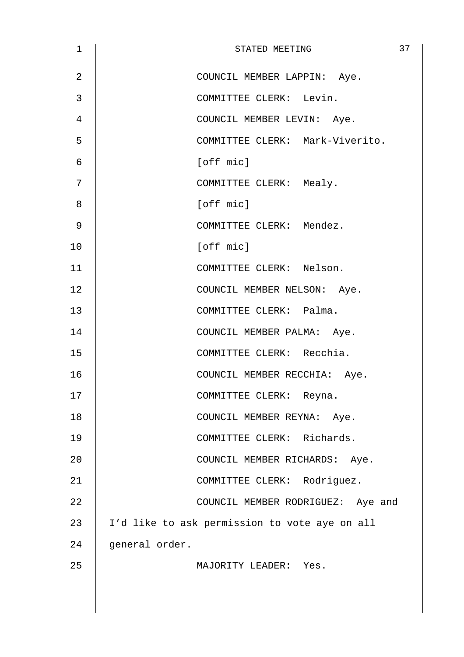| $\mathbf 1$ | 37<br>STATED MEETING                          |
|-------------|-----------------------------------------------|
| 2           | COUNCIL MEMBER LAPPIN: Aye.                   |
| 3           | COMMITTEE CLERK: Levin.                       |
| 4           | COUNCIL MEMBER LEVIN: Aye.                    |
| 5           | COMMITTEE CLERK: Mark-Viverito.               |
| 6           | [off mic]                                     |
| 7           | COMMITTEE CLERK: Mealy.                       |
| 8           | [off mic]                                     |
| 9           | COMMITTEE CLERK: Mendez.                      |
| 10          | [off mic]                                     |
| 11          | COMMITTEE CLERK: Nelson.                      |
| 12          | COUNCIL MEMBER NELSON: Aye.                   |
| 13          | COMMITTEE CLERK: Palma.                       |
| 14          | COUNCIL MEMBER PALMA: Aye.                    |
| 15          | COMMITTEE CLERK: Recchia.                     |
| 16          | COUNCIL MEMBER RECCHIA: Aye.                  |
| 17          | COMMITTEE CLERK: Reyna.                       |
| 18          | COUNCIL MEMBER REYNA: Aye.                    |
| 19          | COMMITTEE CLERK: Richards.                    |
| 20          | COUNCIL MEMBER RICHARDS: Aye.                 |
| 21          | COMMITTEE CLERK: Rodriguez.                   |
| 22          | COUNCIL MEMBER RODRIGUEZ: Aye and             |
| 23          | I'd like to ask permission to vote aye on all |
| 24          | general order.                                |
| 25          | MAJORITY LEADER: Yes.                         |
|             |                                               |
|             |                                               |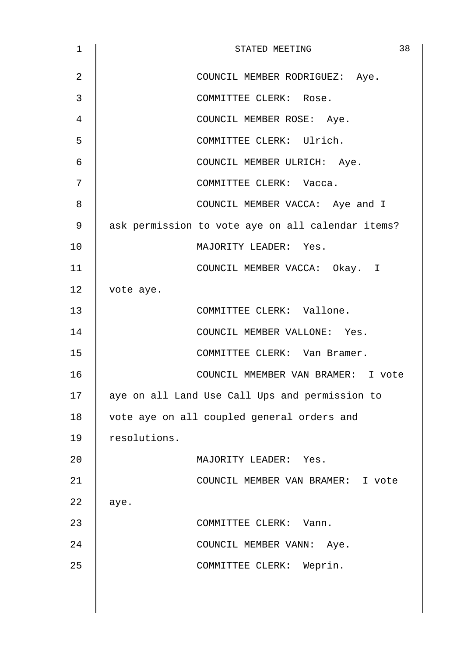| $\mathbf 1$    | 38<br>STATED MEETING                              |
|----------------|---------------------------------------------------|
| $\overline{2}$ | COUNCIL MEMBER RODRIGUEZ: Aye.                    |
| 3              | COMMITTEE CLERK: Rose.                            |
| 4              | COUNCIL MEMBER ROSE: Aye.                         |
| 5              | COMMITTEE CLERK: Ulrich.                          |
| 6              | COUNCIL MEMBER ULRICH: Aye.                       |
| 7              | COMMITTEE CLERK: Vacca.                           |
| 8              | COUNCIL MEMBER VACCA: Aye and I                   |
| 9              | ask permission to vote aye on all calendar items? |
| 10             | MAJORITY LEADER: Yes.                             |
| 11             | COUNCIL MEMBER VACCA: Okay. I                     |
| 12             | vote aye.                                         |
| 13             | COMMITTEE CLERK: Vallone.                         |
| 14             | COUNCIL MEMBER VALLONE: Yes.                      |
| 15             | COMMITTEE CLERK: Van Bramer.                      |
| 16             | COUNCIL MMEMBER VAN BRAMER: I vote                |
| 17             | aye on all Land Use Call Ups and permission to    |
| 18             | vote aye on all coupled general orders and        |
| 19             | resolutions.                                      |
| 20             | MAJORITY LEADER: Yes.                             |
| 21             | COUNCIL MEMBER VAN BRAMER: I vote                 |
| 22             | aye.                                              |
| 23             | COMMITTEE CLERK: Vann.                            |
| 24             | COUNCIL MEMBER VANN: Aye.                         |
| 25             | COMMITTEE CLERK: Weprin.                          |
|                |                                                   |
|                |                                                   |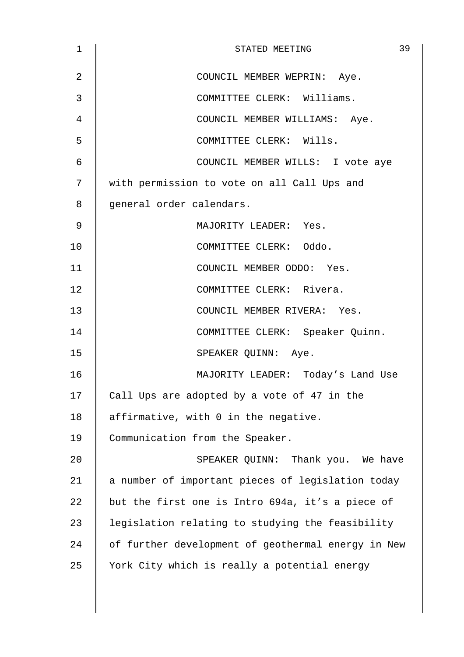| $\mathbf 1$ | 39<br>STATED MEETING                               |
|-------------|----------------------------------------------------|
| 2           | COUNCIL MEMBER WEPRIN: Aye.                        |
| 3           | COMMITTEE CLERK: Williams.                         |
| 4           | COUNCIL MEMBER WILLIAMS: Aye.                      |
| 5           | COMMITTEE CLERK: Wills.                            |
| 6           | COUNCIL MEMBER WILLS: I vote aye                   |
| 7           | with permission to vote on all Call Ups and        |
| 8           | general order calendars.                           |
| 9           | MAJORITY LEADER: Yes.                              |
| 10          | COMMITTEE CLERK: Oddo.                             |
| 11          | COUNCIL MEMBER ODDO: Yes.                          |
| 12          | COMMITTEE CLERK: Rivera.                           |
| 13          | COUNCIL MEMBER RIVERA: Yes.                        |
| 14          | COMMITTEE CLERK: Speaker Quinn.                    |
| 15          | SPEAKER QUINN: Aye.                                |
| 16          | MAJORITY LEADER: Today's Land Use                  |
| 17          | Call Ups are adopted by a vote of 47 in the        |
| 18          | affirmative, with 0 in the negative.               |
| 19          | Communication from the Speaker.                    |
| 20          | SPEAKER QUINN: Thank you. We have                  |
| 21          | a number of important pieces of legislation today  |
| 22          | but the first one is Intro 694a, it's a piece of   |
| 23          | legislation relating to studying the feasibility   |
| 24          | of further development of geothermal energy in New |
| 25          | York City which is really a potential energy       |
|             |                                                    |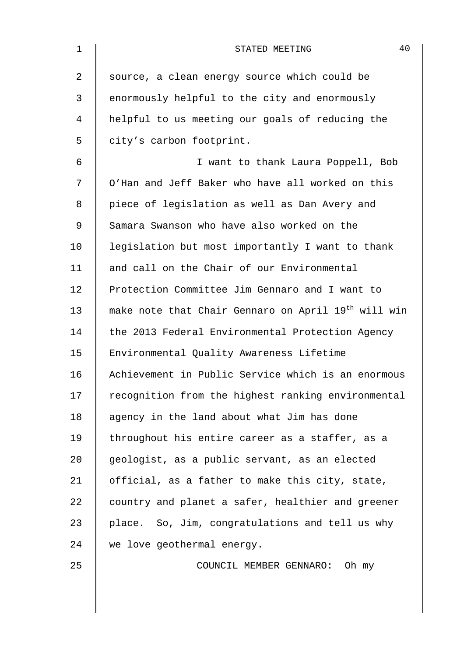| $\mathbf{1}$ | 40<br>STATED MEETING                                            |
|--------------|-----------------------------------------------------------------|
| 2            | source, a clean energy source which could be                    |
| 3            | enormously helpful to the city and enormously                   |
| 4            | helpful to us meeting our goals of reducing the                 |
| 5            | city's carbon footprint.                                        |
| 6            | I want to thank Laura Poppell, Bob                              |
| 7            | O'Han and Jeff Baker who have all worked on this                |
| 8            | piece of legislation as well as Dan Avery and                   |
| 9            | Samara Swanson who have also worked on the                      |
| 10           | legislation but most importantly I want to thank                |
| 11           | and call on the Chair of our Environmental                      |
| 12           | Protection Committee Jim Gennaro and I want to                  |
| 13           | make note that Chair Gennaro on April 19 <sup>th</sup> will win |
| 14           | the 2013 Federal Environmental Protection Agency                |
| 15           | Environmental Quality Awareness Lifetime                        |
| 16           | Achievement in Public Service which is an enormous              |
| 17           | recognition from the highest ranking environmental              |
| 18           | agency in the land about what Jim has done                      |
| 19           | throughout his entire career as a staffer, as a                 |
| 20           | geologist, as a public servant, as an elected                   |
| 21           | official, as a father to make this city, state,                 |
| 22           | country and planet a safer, healthier and greener               |
| 23           | place. So, Jim, congratulations and tell us why                 |
| 24           | we love geothermal energy.                                      |
| 25           | COUNCIL MEMBER GENNARO: Oh my                                   |

 $\overline{\phantom{a}}$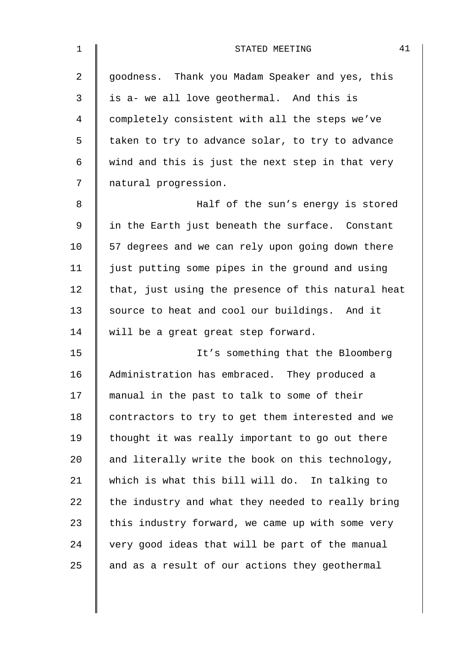| 1              | 41<br>STATED MEETING                               |
|----------------|----------------------------------------------------|
| $\overline{2}$ | goodness. Thank you Madam Speaker and yes, this    |
| 3              | is a- we all love geothermal. And this is          |
| 4              | completely consistent with all the steps we've     |
| 5              | taken to try to advance solar, to try to advance   |
| 6              | wind and this is just the next step in that very   |
| 7              | natural progression.                               |
| 8              | Half of the sun's energy is stored                 |
| 9              | in the Earth just beneath the surface. Constant    |
| 10             | 57 degrees and we can rely upon going down there   |
| 11             | just putting some pipes in the ground and using    |
| 12             | that, just using the presence of this natural heat |
| 13             | source to heat and cool our buildings. And it      |
| 14             | will be a great great step forward.                |
| 15             | It's something that the Bloomberg                  |
| 16             | Administration has embraced. They produced a       |
| 17             | manual in the past to talk to some of their        |
| 18             | contractors to try to get them interested and we   |
| 19             | thought it was really important to go out there    |
| 20             | and literally write the book on this technology,   |
| 21             | which is what this bill will do. In talking to     |
| 22             | the industry and what they needed to really bring  |
| 23             | this industry forward, we came up with some very   |
| 24             | very good ideas that will be part of the manual    |
| 25             | and as a result of our actions they geothermal     |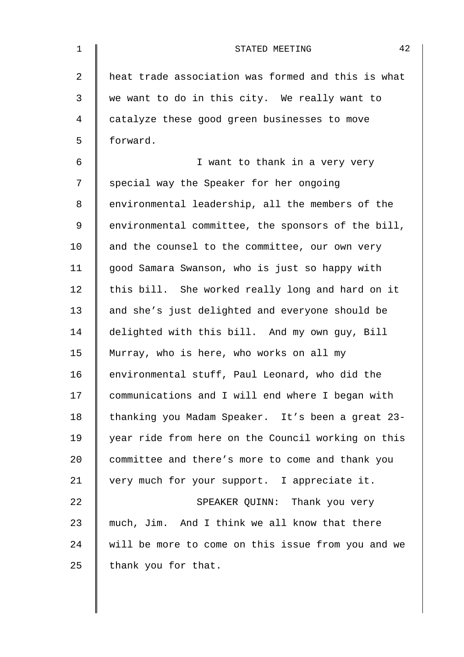| $\mathbf 1$    | 42<br>STATED MEETING                               |
|----------------|----------------------------------------------------|
| $\overline{a}$ | heat trade association was formed and this is what |
| $\mathfrak{Z}$ | we want to do in this city. We really want to      |
| 4              | catalyze these good green businesses to move       |
| 5              | forward.                                           |
| 6              | I want to thank in a very very                     |
| 7              | special way the Speaker for her ongoing            |
| 8              | environmental leadership, all the members of the   |
| 9              | environmental committee, the sponsors of the bill, |
| 10             | and the counsel to the committee, our own very     |
| 11             | good Samara Swanson, who is just so happy with     |
| 12             | this bill. She worked really long and hard on it   |
| 13             | and she's just delighted and everyone should be    |
| 14             | delighted with this bill. And my own guy, Bill     |
| 15             | Murray, who is here, who works on all my           |
| 16             | environmental stuff, Paul Leonard, who did the     |
| 17             | communications and I will end where I began with   |
| 18             | thanking you Madam Speaker. It's been a great 23-  |
| 19             | year ride from here on the Council working on this |
| 20             | committee and there's more to come and thank you   |
| 21             | very much for your support. I appreciate it.       |
| 22             | SPEAKER QUINN: Thank you very                      |
| 23             | much, Jim. And I think we all know that there      |
| 24             | will be more to come on this issue from you and we |
| 25             | thank you for that.                                |
|                |                                                    |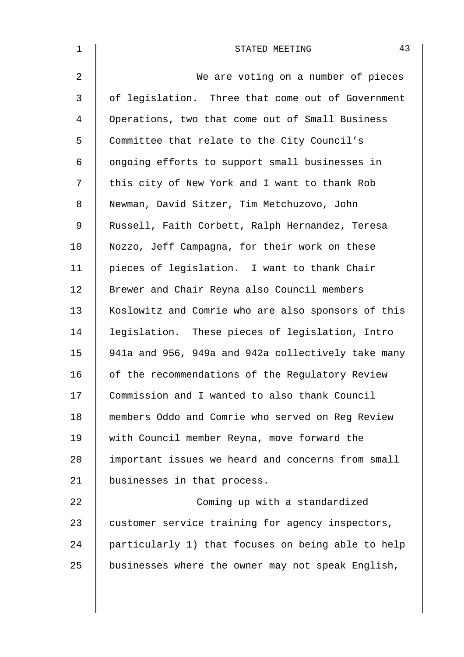| $\mathbf 1$    | 43<br>STATED MEETING                               |
|----------------|----------------------------------------------------|
| $\overline{a}$ | We are voting on a number of pieces                |
| 3              | of legislation. Three that come out of Government  |
| 4              | Operations, two that come out of Small Business    |
| 5              | Committee that relate to the City Council's        |
| 6              | ongoing efforts to support small businesses in     |
| 7              | this city of New York and I want to thank Rob      |
| 8              | Newman, David Sitzer, Tim Metchuzovo, John         |
| 9              | Russell, Faith Corbett, Ralph Hernandez, Teresa    |
| 10             | Nozzo, Jeff Campagna, for their work on these      |
| 11             | pieces of legislation. I want to thank Chair       |
| 12             | Brewer and Chair Reyna also Council members        |
| 13             | Koslowitz and Comrie who are also sponsors of this |
| 14             | legislation. These pieces of legislation, Intro    |
| 15             | 941a and 956, 949a and 942a collectively take many |
| 16             | of the recommendations of the Regulatory Review    |
| 17             | Commission and I wanted to also thank Council      |
| 18             | members Oddo and Comrie who served on Reg Review   |
| 19             | with Council member Reyna, move forward the        |
| 20             | important issues we heard and concerns from small  |
| 21             | businesses in that process.                        |
| 22             | Coming up with a standardized                      |
| 23             | customer service training for agency inspectors,   |
| 24             | particularly 1) that focuses on being able to help |
| 25             | businesses where the owner may not speak English,  |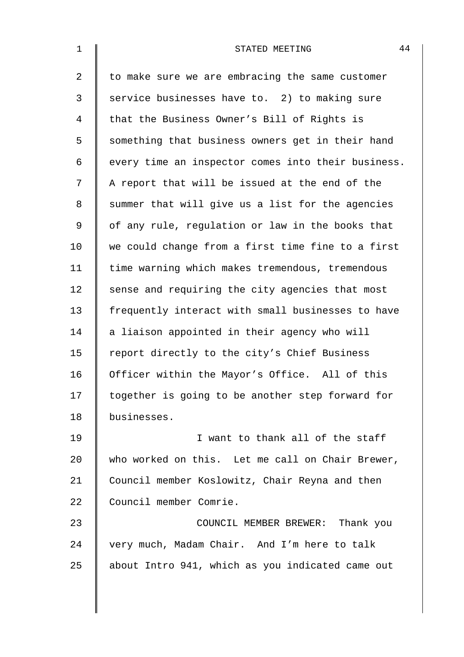| $\mathbf 1$ | 44<br>STATED MEETING                               |
|-------------|----------------------------------------------------|
| 2           | to make sure we are embracing the same customer    |
| 3           | service businesses have to. 2) to making sure      |
| 4           | that the Business Owner's Bill of Rights is        |
| 5           | something that business owners get in their hand   |
| 6           | every time an inspector comes into their business. |
| 7           | A report that will be issued at the end of the     |
| 8           | summer that will give us a list for the agencies   |
| 9           | of any rule, regulation or law in the books that   |
| 10          | we could change from a first time fine to a first  |
| 11          | time warning which makes tremendous, tremendous    |
| 12          | sense and requiring the city agencies that most    |
| 13          | frequently interact with small businesses to have  |
| 14          | a liaison appointed in their agency who will       |
| 15          | report directly to the city's Chief Business       |
| 16          | Officer within the Mayor's Office. All of this     |
| 17          | together is going to be another step forward for   |
| 18          | businesses.                                        |
| 19          | I want to thank all of the staff                   |
| 20          | who worked on this. Let me call on Chair Brewer,   |
| 21          | Council member Koslowitz, Chair Reyna and then     |
| 22          | Council member Comrie.                             |
| 23          | COUNCIL MEMBER BREWER: Thank you                   |
| 24          | very much, Madam Chair. And I'm here to talk       |
| 25          | about Intro 941, which as you indicated came out   |
|             |                                                    |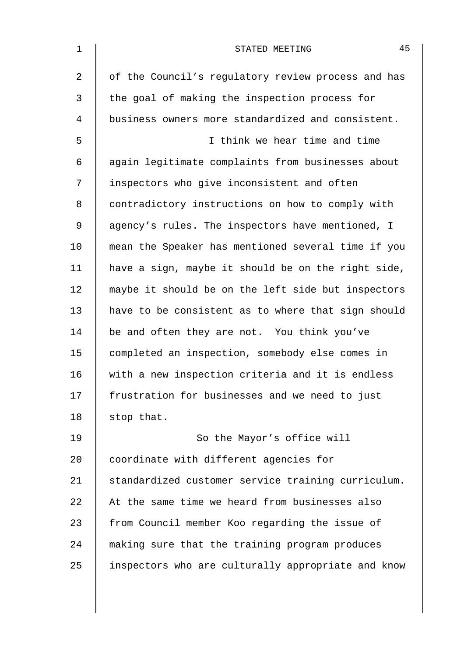| $\mathbf 1$    | 45<br>STATED MEETING                               |
|----------------|----------------------------------------------------|
| $\overline{2}$ | of the Council's regulatory review process and has |
| 3              | the goal of making the inspection process for      |
| 4              | business owners more standardized and consistent.  |
| 5              | I think we hear time and time                      |
| 6              | again legitimate complaints from businesses about  |
| 7              | inspectors who give inconsistent and often         |
| 8              | contradictory instructions on how to comply with   |
| $\mathsf 9$    | agency's rules. The inspectors have mentioned, I   |
| 10             | mean the Speaker has mentioned several time if you |
| 11             | have a sign, maybe it should be on the right side, |
| 12             | maybe it should be on the left side but inspectors |
| 13             | have to be consistent as to where that sign should |
| 14             | be and often they are not. You think you've        |
| 15             | completed an inspection, somebody else comes in    |
| 16             | with a new inspection criteria and it is endless   |
| 17             | frustration for businesses and we need to just     |
| 18             | stop that.                                         |
| 19             | So the Mayor's office will                         |
| 20             | coordinate with different agencies for             |
| 21             | standardized customer service training curriculum. |
| 22             | At the same time we heard from businesses also     |
| 23             | from Council member Koo regarding the issue of     |
| 24             | making sure that the training program produces     |
| 25             | inspectors who are culturally appropriate and know |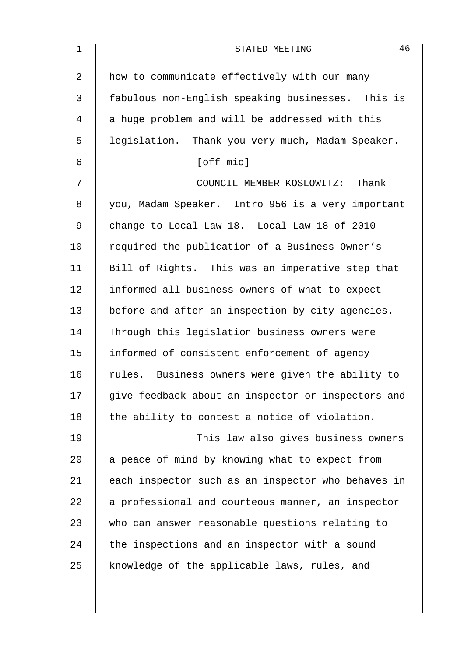| $\mathbf 1$    | 46<br>STATED MEETING                               |
|----------------|----------------------------------------------------|
| $\overline{a}$ | how to communicate effectively with our many       |
| 3              | fabulous non-English speaking businesses. This is  |
| 4              | a huge problem and will be addressed with this     |
| 5              | legislation. Thank you very much, Madam Speaker.   |
| 6              | [off mic]                                          |
| 7              | COUNCIL MEMBER KOSLOWITZ: Thank                    |
| 8              | you, Madam Speaker. Intro 956 is a very important  |
| 9              | change to Local Law 18. Local Law 18 of 2010       |
| 10             | required the publication of a Business Owner's     |
| 11             | Bill of Rights. This was an imperative step that   |
| 12             | informed all business owners of what to expect     |
| 13             | before and after an inspection by city agencies.   |
| 14             | Through this legislation business owners were      |
| 15             | informed of consistent enforcement of agency       |
| 16             | rules. Business owners were given the ability to   |
| 17             | give feedback about an inspector or inspectors and |
| 18             | the ability to contest a notice of violation.      |
| 19             | This law also gives business owners                |
| 20             | a peace of mind by knowing what to expect from     |
| 21             | each inspector such as an inspector who behaves in |
| 22             | a professional and courteous manner, an inspector  |
| 23             | who can answer reasonable questions relating to    |
| 24             | the inspections and an inspector with a sound      |
| 25             | knowledge of the applicable laws, rules, and       |
|                |                                                    |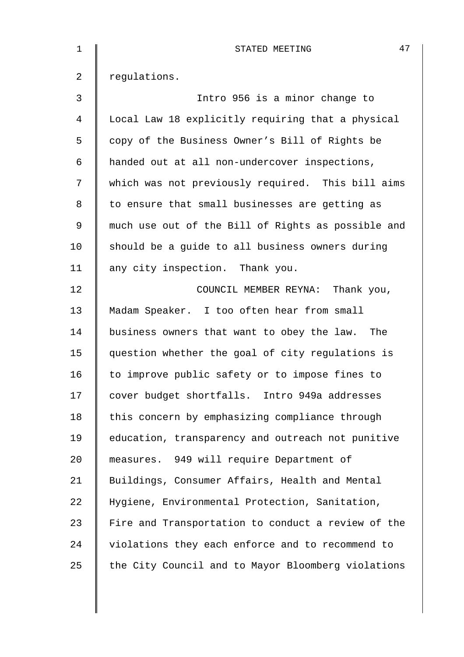| $\mathbf 1$ | 47<br>STATED MEETING                               |
|-------------|----------------------------------------------------|
| 2           | regulations.                                       |
| 3           | Intro 956 is a minor change to                     |
| 4           | Local Law 18 explicitly requiring that a physical  |
| 5           | copy of the Business Owner's Bill of Rights be     |
| 6           | handed out at all non-undercover inspections,      |
| 7           | which was not previously required. This bill aims  |
| 8           | to ensure that small businesses are getting as     |
| 9           | much use out of the Bill of Rights as possible and |
| 10          | should be a guide to all business owners during    |
| 11          | any city inspection. Thank you.                    |
| 12          | COUNCIL MEMBER REYNA: Thank you,                   |
| 13          | Madam Speaker. I too often hear from small         |
| 14          | business owners that want to obey the law.<br>The  |
| 15          | question whether the goal of city regulations is   |
| 16          | to improve public safety or to impose fines to     |
| 17          | cover budget shortfalls. Intro 949a addresses      |
| 18          | this concern by emphasizing compliance through     |
| 19          | education, transparency and outreach not punitive  |
| 20          | measures. 949 will require Department of           |
| 21          | Buildings, Consumer Affairs, Health and Mental     |
| 22          | Hygiene, Environmental Protection, Sanitation,     |
| 23          | Fire and Transportation to conduct a review of the |
| 24          | violations they each enforce and to recommend to   |
| 25          | the City Council and to Mayor Bloomberg violations |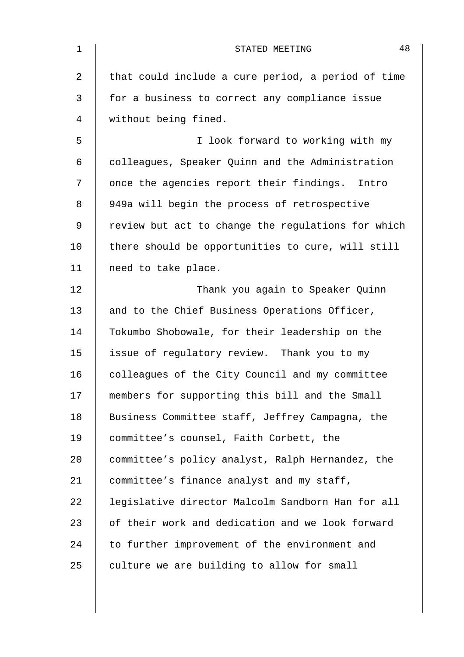| $\mathbf 1$ | 48<br>STATED MEETING                               |
|-------------|----------------------------------------------------|
| 2           | that could include a cure period, a period of time |
| 3           | for a business to correct any compliance issue     |
| 4           | without being fined.                               |
| 5           | I look forward to working with my                  |
| 6           | colleagues, Speaker Quinn and the Administration   |
| 7           | once the agencies report their findings. Intro     |
| 8           | 949a will begin the process of retrospective       |
| 9           | review but act to change the regulations for which |
| 10          | there should be opportunities to cure, will still  |
| 11          | need to take place.                                |
| 12          | Thank you again to Speaker Quinn                   |
| 13          | and to the Chief Business Operations Officer,      |
| 14          | Tokumbo Shobowale, for their leadership on the     |
| 15          | issue of regulatory review. Thank you to my        |
| 16          | colleagues of the City Council and my committee    |
| 17          | members for supporting this bill and the Small     |
| 18          | Business Committee staff, Jeffrey Campagna, the    |
| 19          | committee's counsel, Faith Corbett, the            |
| 20          | committee's policy analyst, Ralph Hernandez, the   |
| 21          | committee's finance analyst and my staff,          |
| 22          | legislative director Malcolm Sandborn Han for all  |
| 23          | of their work and dedication and we look forward   |
| 24          | to further improvement of the environment and      |
| 25          | culture we are building to allow for small         |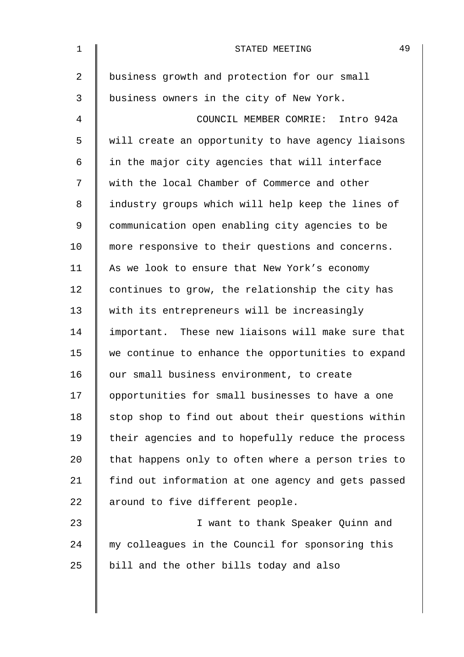| $\mathbf 1$    | 49<br>STATED MEETING                               |
|----------------|----------------------------------------------------|
| $\overline{2}$ | business growth and protection for our small       |
| 3              | business owners in the city of New York.           |
| 4              | COUNCIL MEMBER COMRIE: Intro 942a                  |
| 5              | will create an opportunity to have agency liaisons |
| 6              | in the major city agencies that will interface     |
| 7              | with the local Chamber of Commerce and other       |
| 8              | industry groups which will help keep the lines of  |
| 9              | communication open enabling city agencies to be    |
| 10             | more responsive to their questions and concerns.   |
| 11             | As we look to ensure that New York's economy       |
| 12             | continues to grow, the relationship the city has   |
| 13             | with its entrepreneurs will be increasingly        |
| 14             | important. These new liaisons will make sure that  |
| 15             | we continue to enhance the opportunities to expand |
| 16             | our small business environment, to create          |
| 17             | opportunities for small businesses to have a one   |
| 18             | stop shop to find out about their questions within |
| 19             | their agencies and to hopefully reduce the process |
| 20             | that happens only to often where a person tries to |
| 21             | find out information at one agency and gets passed |
| 22             | around to five different people.                   |
| 23             | I want to thank Speaker Quinn and                  |
| 24             | my colleagues in the Council for sponsoring this   |
| 25             | bill and the other bills today and also            |
|                |                                                    |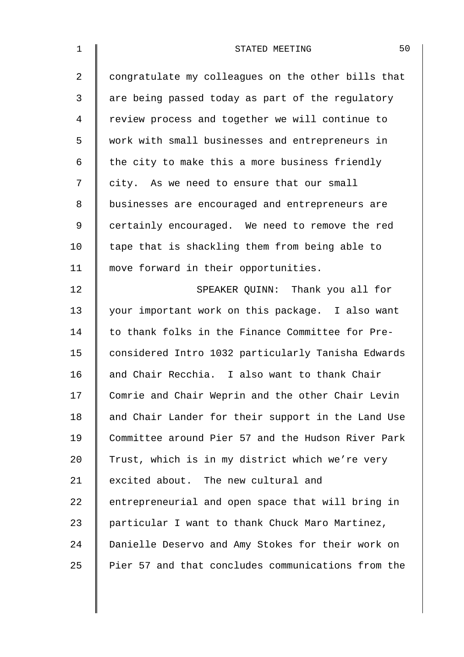| $\mathbf 1$    | 50<br>STATED MEETING                               |
|----------------|----------------------------------------------------|
| $\overline{a}$ | congratulate my colleagues on the other bills that |
| 3              | are being passed today as part of the regulatory   |
| 4              | review process and together we will continue to    |
| 5              | work with small businesses and entrepreneurs in    |
| 6              | the city to make this a more business friendly     |
| 7              | city. As we need to ensure that our small          |
| 8              | businesses are encouraged and entrepreneurs are    |
| $\mathsf 9$    | certainly encouraged. We need to remove the red    |
| 10             | tape that is shackling them from being able to     |
| 11             | move forward in their opportunities.               |
| 12             | SPEAKER QUINN: Thank you all for                   |
| 13             | your important work on this package. I also want   |
| 14             | to thank folks in the Finance Committee for Pre-   |
| 15             | considered Intro 1032 particularly Tanisha Edwards |
| 16             | and Chair Recchia. I also want to thank Chair      |
| 17             | Comrie and Chair Weprin and the other Chair Levin  |
| 18             | and Chair Lander for their support in the Land Use |
| 19             | Committee around Pier 57 and the Hudson River Park |
| 20             | Trust, which is in my district which we're very    |
| 21             | excited about. The new cultural and                |
| 22             | entrepreneurial and open space that will bring in  |
| 23             | particular I want to thank Chuck Maro Martinez,    |
| 24             | Danielle Deservo and Amy Stokes for their work on  |
| 25             | Pier 57 and that concludes communications from the |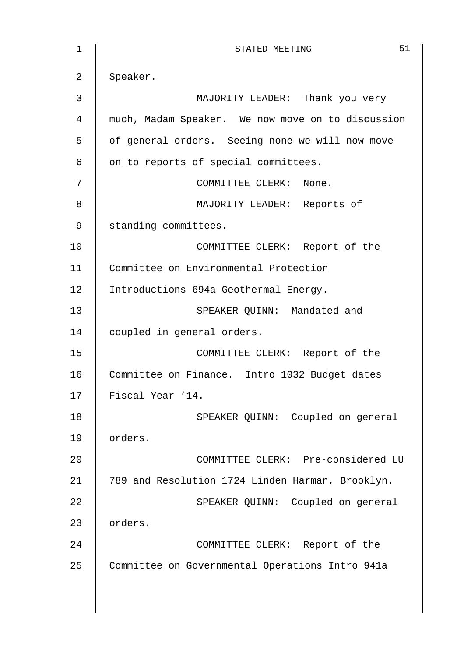| $\mathbf{1}$   | 51<br>STATED MEETING                              |
|----------------|---------------------------------------------------|
| $\overline{2}$ | Speaker.                                          |
| 3              | MAJORITY LEADER: Thank you very                   |
| $\overline{4}$ | much, Madam Speaker. We now move on to discussion |
| 5              | of general orders. Seeing none we will now move   |
| $\epsilon$     | on to reports of special committees.              |
| 7              | COMMITTEE CLERK: None.                            |
| 8              | MAJORITY LEADER: Reports of                       |
| 9              | standing committees.                              |
| 10             | COMMITTEE CLERK: Report of the                    |
| 11             | Committee on Environmental Protection             |
| 12             | Introductions 694a Geothermal Energy.             |
| 13             | SPEAKER QUINN: Mandated and                       |
| 14             | coupled in general orders.                        |
| 15             | COMMITTEE CLERK: Report of the                    |
| 16             | Committee on Finance. Intro 1032 Budget dates     |
| 17             | Fiscal Year '14.                                  |
| 18             | SPEAKER QUINN: Coupled on general                 |
| 19             | orders.                                           |
| 20             | COMMITTEE CLERK: Pre-considered LU                |
| 21             | 789 and Resolution 1724 Linden Harman, Brooklyn.  |
| 22             | SPEAKER QUINN: Coupled on general                 |
| 23             | orders.                                           |
| 24             | COMMITTEE CLERK: Report of the                    |
| 25             | Committee on Governmental Operations Intro 941a   |
|                |                                                   |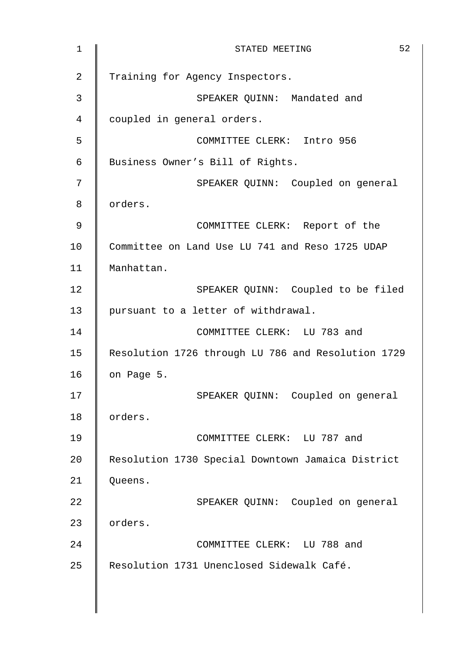1 || STATED MEETING 52 2 Training for Agency Inspectors. 3 | SPEAKER QUINN: Mandated and 4 | coupled in general orders. 5 COMMITTEE CLERK: Intro 956 6 Business Owner's Bill of Rights. 7 || SPEAKER QUINN: Coupled on general 8 | orders. 9 COMMITTEE CLERK: Report of the 10 Committee on Land Use LU 741 and Reso 1725 UDAP 11 Manhattan. 12 | SPEAKER QUINN: Coupled to be filed 13 | pursuant to a letter of withdrawal. 14 COMMITTEE CLERK: LU 783 and 15 Resolution 1726 through LU 786 and Resolution 1729 16  $\parallel$  on Page 5. 17 || SPEAKER QUINN: Coupled on general 18 | orders. 19 COMMITTEE CLERK: LU 787 and 20 | Resolution 1730 Special Downtown Jamaica District 21 | Queens. 22 | SPEAKER QUINN: Coupled on general 23 | orders. 24 COMMITTEE CLERK: LU 788 and 25 | Resolution 1731 Unenclosed Sidewalk Café.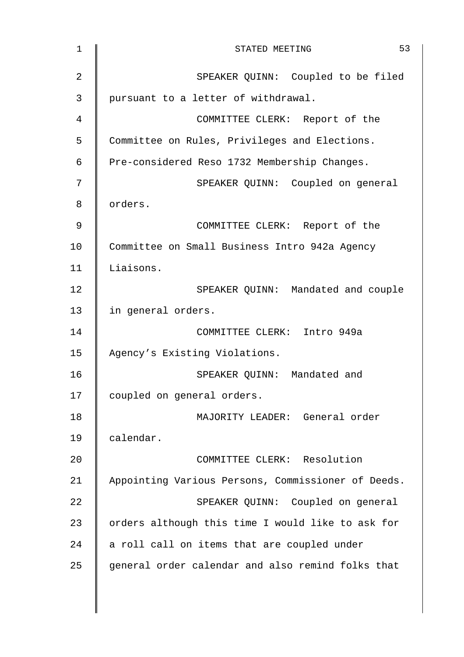| 53<br>STATED MEETING                               |
|----------------------------------------------------|
| SPEAKER QUINN: Coupled to be filed                 |
| pursuant to a letter of withdrawal.                |
| COMMITTEE CLERK: Report of the                     |
| Committee on Rules, Privileges and Elections.      |
| Pre-considered Reso 1732 Membership Changes.       |
| SPEAKER QUINN: Coupled on general                  |
| orders.                                            |
| COMMITTEE CLERK: Report of the                     |
| Committee on Small Business Intro 942a Agency      |
| Liaisons.                                          |
| SPEAKER QUINN: Mandated and couple                 |
| in general orders.                                 |
| COMMITTEE CLERK: Intro 949a                        |
| Agency's Existing Violations.                      |
| SPEAKER QUINN: Mandated and                        |
| coupled on general orders.                         |
| MAJORITY LEADER: General order                     |
| calendar.                                          |
| COMMITTEE CLERK: Resolution                        |
| Appointing Various Persons, Commissioner of Deeds. |
| SPEAKER QUINN: Coupled on general                  |
| orders although this time I would like to ask for  |
| a roll call on items that are coupled under        |
| general order calendar and also remind folks that  |
|                                                    |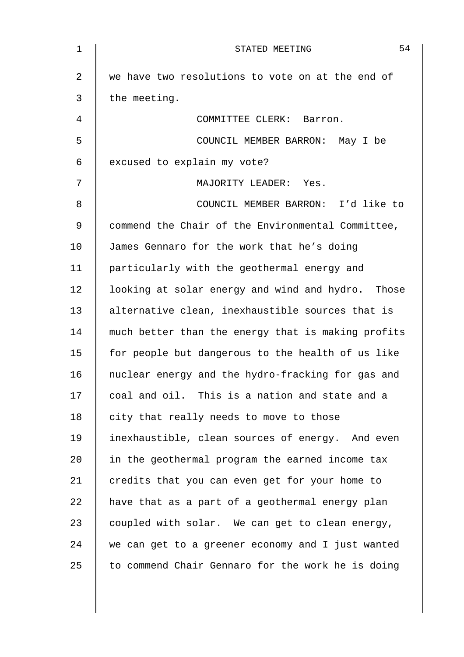| $1\,$      | 54<br>STATED MEETING                               |
|------------|----------------------------------------------------|
| 2          | we have two resolutions to vote on at the end of   |
| 3          | the meeting.                                       |
| 4          | COMMITTEE CLERK: Barron.                           |
| 5          | COUNCIL MEMBER BARRON: May I be                    |
| $\epsilon$ | excused to explain my vote?                        |
| 7          | MAJORITY LEADER: Yes.                              |
| 8          | COUNCIL MEMBER BARRON: I'd like to                 |
| 9          | commend the Chair of the Environmental Committee,  |
| 10         | James Gennaro for the work that he's doing         |
| 11         | particularly with the geothermal energy and        |
| 12         | looking at solar energy and wind and hydro. Those  |
| 13         | alternative clean, inexhaustible sources that is   |
| 14         | much better than the energy that is making profits |
| 15         | for people but dangerous to the health of us like  |
| 16         | nuclear energy and the hydro-fracking for gas and  |
| 17         | coal and oil. This is a nation and state and a     |
| 18         | city that really needs to move to those            |
| 19         | inexhaustible, clean sources of energy. And even   |
| 20         | in the geothermal program the earned income tax    |
| 21         | credits that you can even get for your home to     |
| 22         | have that as a part of a geothermal energy plan    |
| 23         | coupled with solar. We can get to clean energy,    |
| 24         | we can get to a greener economy and I just wanted  |
| 25         | to commend Chair Gennaro for the work he is doing  |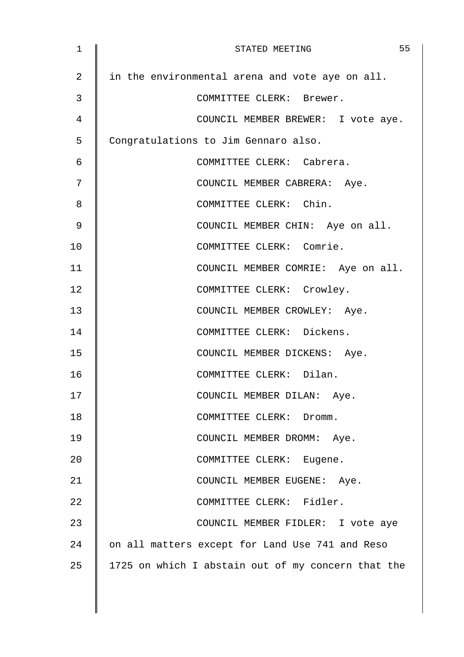| 1  | 55<br>STATED MEETING                               |
|----|----------------------------------------------------|
| 2  | in the environmental arena and vote aye on all.    |
| 3  | COMMITTEE CLERK: Brewer.                           |
| 4  | COUNCIL MEMBER BREWER: I vote aye.                 |
| 5  | Congratulations to Jim Gennaro also.               |
| 6  | COMMITTEE CLERK: Cabrera.                          |
| 7  | COUNCIL MEMBER CABRERA: Aye.                       |
| 8  | COMMITTEE CLERK: Chin.                             |
| 9  | COUNCIL MEMBER CHIN: Aye on all.                   |
| 10 | COMMITTEE CLERK: Comrie.                           |
| 11 | COUNCIL MEMBER COMRIE: Aye on all.                 |
| 12 | COMMITTEE CLERK: Crowley.                          |
| 13 | COUNCIL MEMBER CROWLEY: Aye.                       |
| 14 | COMMITTEE CLERK: Dickens.                          |
| 15 | COUNCIL MEMBER DICKENS: Aye.                       |
| 16 | COMMITTEE CLERK: Dilan.                            |
| 17 | COUNCIL MEMBER DILAN: Aye.                         |
| 18 | COMMITTEE CLERK: Dromm.                            |
| 19 | COUNCIL MEMBER DROMM: Aye.                         |
| 20 | COMMITTEE CLERK: Eugene.                           |
| 21 | COUNCIL MEMBER EUGENE: Aye.                        |
| 22 | COMMITTEE CLERK: Fidler.                           |
| 23 | COUNCIL MEMBER FIDLER: I vote aye                  |
| 24 | on all matters except for Land Use 741 and Reso    |
| 25 | 1725 on which I abstain out of my concern that the |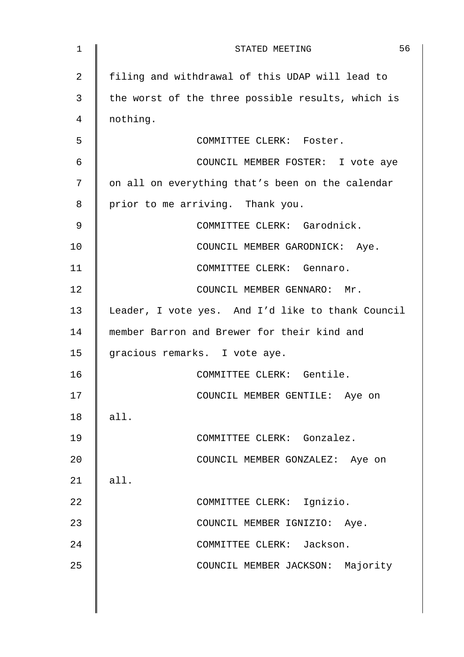| $\mathbf{1}$ | 56<br>STATED MEETING                              |
|--------------|---------------------------------------------------|
| 2            | filing and withdrawal of this UDAP will lead to   |
| 3            | the worst of the three possible results, which is |
| 4            | nothing.                                          |
| 5            | COMMITTEE CLERK: Foster.                          |
| 6            | COUNCIL MEMBER FOSTER: I vote aye                 |
| 7            | on all on everything that's been on the calendar  |
| 8            | prior to me arriving. Thank you.                  |
| 9            | COMMITTEE CLERK: Garodnick.                       |
| 10           | COUNCIL MEMBER GARODNICK: Aye.                    |
| 11           | COMMITTEE CLERK: Gennaro.                         |
| 12           | COUNCIL MEMBER GENNARO: Mr.                       |
| 13           | Leader, I vote yes. And I'd like to thank Council |
| 14           | member Barron and Brewer for their kind and       |
| 15           | gracious remarks. I vote aye.                     |
| 16           | COMMITTEE CLERK: Gentile.                         |
| 17           | COUNCIL MEMBER GENTILE: Aye on                    |
| 18           | all.                                              |
| 19           | COMMITTEE CLERK: Gonzalez.                        |
| 20           | COUNCIL MEMBER GONZALEZ: Aye on                   |
| 21           | all.                                              |
| 22           | COMMITTEE CLERK: Ignizio.                         |
| 23           | COUNCIL MEMBER IGNIZIO: Aye.                      |
| 24           | COMMITTEE CLERK: Jackson.                         |
| 25           | COUNCIL MEMBER JACKSON: Majority                  |
|              |                                                   |
|              |                                                   |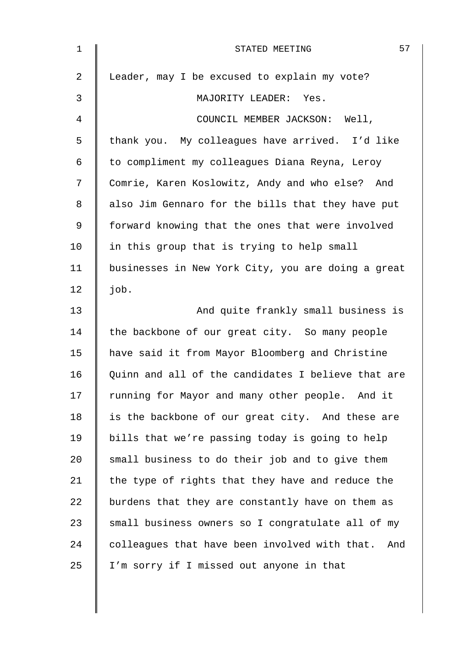| $\mathbf 1$ | 57<br>STATED MEETING                               |
|-------------|----------------------------------------------------|
| 2           | Leader, may I be excused to explain my vote?       |
| 3           | MAJORITY LEADER: Yes.                              |
| 4           | COUNCIL MEMBER JACKSON: Well,                      |
| 5           | thank you. My colleagues have arrived. I'd like    |
| 6           | to compliment my colleagues Diana Reyna, Leroy     |
| 7           | Comrie, Karen Koslowitz, Andy and who else? And    |
| 8           | also Jim Gennaro for the bills that they have put  |
| 9           | forward knowing that the ones that were involved   |
| 10          | in this group that is trying to help small         |
| 11          | businesses in New York City, you are doing a great |
| 12          | job.                                               |
| 13          | And quite frankly small business is                |
| 14          | the backbone of our great city. So many people     |
| 15          | have said it from Mayor Bloomberg and Christine    |
| 16          | Quinn and all of the candidates I believe that are |
| 17          | running for Mayor and many other people. And it    |
| 18          | is the backbone of our great city. And these are   |
| 19          | bills that we're passing today is going to help    |
| 20          | small business to do their job and to give them    |
| 21          | the type of rights that they have and reduce the   |
| 22          | burdens that they are constantly have on them as   |
| 23          | small business owners so I congratulate all of my  |
| 24          | colleagues that have been involved with that. And  |
| 25          | I'm sorry if I missed out anyone in that           |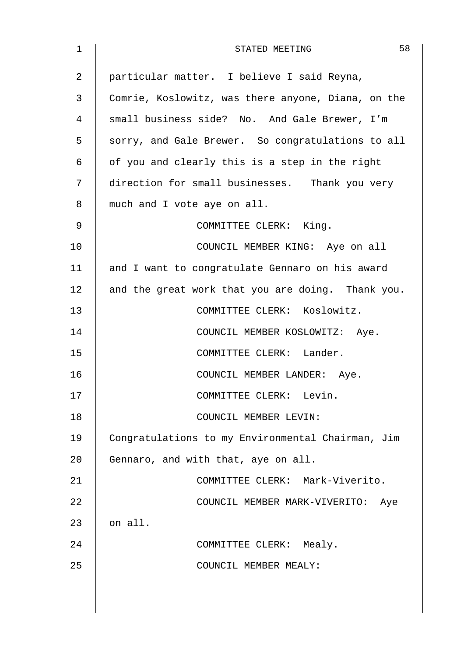| 1  | 58<br>STATED MEETING                               |
|----|----------------------------------------------------|
| 2  | particular matter. I believe I said Reyna,         |
| 3  | Comrie, Koslowitz, was there anyone, Diana, on the |
| 4  | small business side? No. And Gale Brewer, I'm      |
| 5  | sorry, and Gale Brewer. So congratulations to all  |
| 6  | of you and clearly this is a step in the right     |
| 7  | direction for small businesses. Thank you very     |
| 8  | much and I vote aye on all.                        |
| 9  | COMMITTEE CLERK: King.                             |
| 10 | COUNCIL MEMBER KING: Aye on all                    |
| 11 | and I want to congratulate Gennaro on his award    |
| 12 | and the great work that you are doing. Thank you.  |
| 13 | COMMITTEE CLERK: Koslowitz.                        |
| 14 | COUNCIL MEMBER KOSLOWITZ: Aye.                     |
| 15 | COMMITTEE CLERK: Lander.                           |
| 16 | COUNCIL MEMBER LANDER: Aye.                        |
| 17 | COMMITTEE CLERK: Levin.                            |
| 18 | COUNCIL MEMBER LEVIN:                              |
| 19 | Congratulations to my Environmental Chairman, Jim  |
| 20 | Gennaro, and with that, aye on all.                |
| 21 | COMMITTEE CLERK: Mark-Viverito.                    |
| 22 | COUNCIL MEMBER MARK-VIVERITO:<br>Aye               |
| 23 | on all.                                            |
| 24 | COMMITTEE CLERK: Mealy.                            |
| 25 | COUNCIL MEMBER MEALY:                              |
|    |                                                    |
|    |                                                    |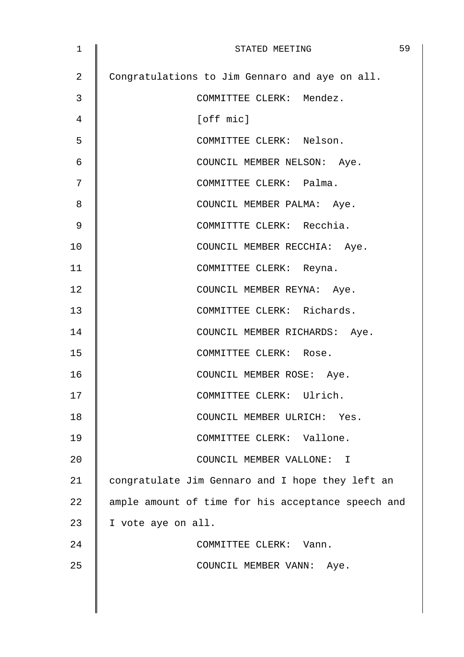| 1  | 59<br>STATED MEETING                               |
|----|----------------------------------------------------|
| 2  | Congratulations to Jim Gennaro and aye on all.     |
| 3  | COMMITTEE CLERK: Mendez.                           |
| 4  | [off mic]                                          |
| 5  | COMMITTEE CLERK: Nelson.                           |
| 6  | COUNCIL MEMBER NELSON: Aye.                        |
| 7  | COMMITTEE CLERK: Palma.                            |
| 8  | COUNCIL MEMBER PALMA: Aye.                         |
| 9  | COMMITTTE CLERK: Recchia.                          |
| 10 | COUNCIL MEMBER RECCHIA: Aye.                       |
| 11 | COMMITTEE CLERK: Reyna.                            |
| 12 | COUNCIL MEMBER REYNA: Aye.                         |
| 13 | COMMITTEE CLERK: Richards.                         |
| 14 | COUNCIL MEMBER RICHARDS: Aye.                      |
| 15 | COMMITTEE CLERK: Rose.                             |
| 16 | COUNCIL MEMBER ROSE: Aye.                          |
| 17 | COMMITTEE CLERK: Ulrich.                           |
| 18 | COUNCIL MEMBER ULRICH: Yes.                        |
| 19 | COMMITTEE CLERK: Vallone.                          |
| 20 | COUNCIL MEMBER VALLONE: I                          |
| 21 | congratulate Jim Gennaro and I hope they left an   |
| 22 | ample amount of time for his acceptance speech and |
| 23 | I vote aye on all.                                 |
| 24 | COMMITTEE CLERK: Vann.                             |
| 25 | COUNCIL MEMBER VANN: Aye.                          |
|    |                                                    |
|    |                                                    |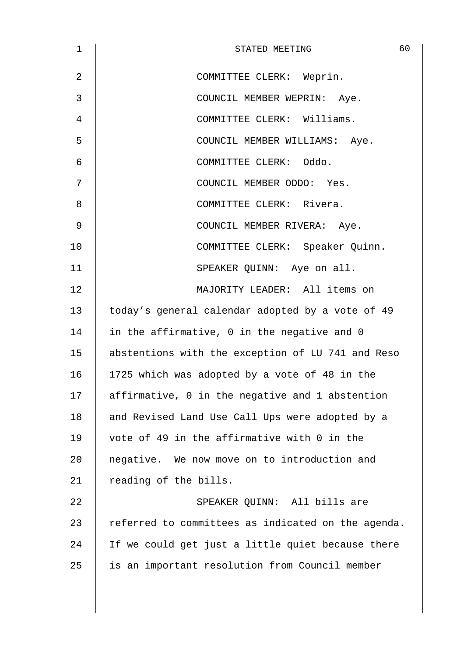| 1              | 60<br>STATED MEETING                               |
|----------------|----------------------------------------------------|
| $\overline{2}$ | COMMITTEE CLERK: Weprin.                           |
| 3              | COUNCIL MEMBER WEPRIN: Aye.                        |
| 4              | COMMITTEE CLERK: Williams.                         |
| 5              | COUNCIL MEMBER WILLIAMS: Aye.                      |
| 6              | COMMITTEE CLERK: Oddo.                             |
| 7              | COUNCIL MEMBER ODDO: Yes.                          |
| 8              | COMMITTEE CLERK: Rivera.                           |
| 9              | COUNCIL MEMBER RIVERA: Aye.                        |
| 10             | COMMITTEE CLERK: Speaker Quinn.                    |
| 11             | SPEAKER QUINN: Aye on all.                         |
| 12             | MAJORITY LEADER: All items on                      |
| 13             | today's general calendar adopted by a vote of 49   |
| 14             | in the affirmative, 0 in the negative and 0        |
| 15             | abstentions with the exception of LU 741 and Reso  |
| 16             | 1725 which was adopted by a vote of 48 in the      |
| 17             | affirmative, 0 in the negative and 1 abstention    |
| 18             | and Revised Land Use Call Ups were adopted by a    |
| 19             | vote of 49 in the affirmative with 0 in the        |
| 20             | negative. We now move on to introduction and       |
| 21             | reading of the bills.                              |
| 22             | SPEAKER QUINN: All bills are                       |
| 23             | referred to committees as indicated on the agenda. |
| 24             | If we could get just a little quiet because there  |
| 25             | is an important resolution from Council member     |
|                |                                                    |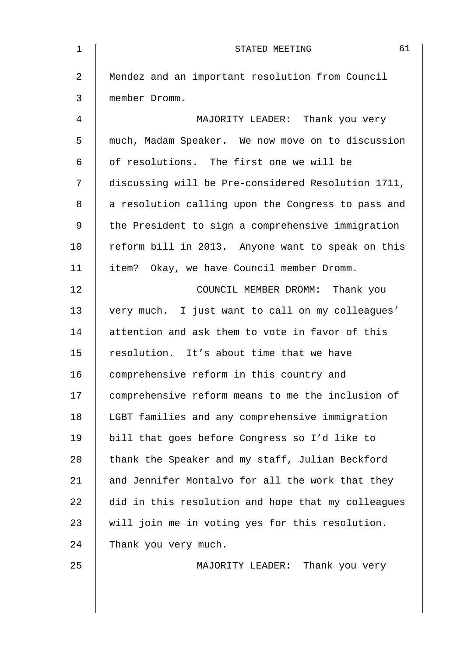| $\mathbf 1$    | 61<br>STATED MEETING                               |
|----------------|----------------------------------------------------|
| $\overline{2}$ | Mendez and an important resolution from Council    |
| 3              | member Dromm.                                      |
| $\overline{4}$ | MAJORITY LEADER: Thank you very                    |
| 5              | much, Madam Speaker. We now move on to discussion  |
| 6              | of resolutions. The first one we will be           |
| 7              | discussing will be Pre-considered Resolution 1711, |
| 8              | a resolution calling upon the Congress to pass and |
| 9              | the President to sign a comprehensive immigration  |
| 10             | reform bill in 2013. Anyone want to speak on this  |
| 11             | item? Okay, we have Council member Dromm.          |
| 12             | COUNCIL MEMBER DROMM: Thank you                    |
| 13             | very much. I just want to call on my colleagues'   |
| 14             | attention and ask them to vote in favor of this    |
| 15             | resolution. It's about time that we have           |
| 16             | comprehensive reform in this country and           |
| 17             | comprehensive reform means to me the inclusion of  |
| 18             | LGBT families and any comprehensive immigration    |
| 19             | bill that goes before Congress so I'd like to      |
| 20             | thank the Speaker and my staff, Julian Beckford    |
| 21             | and Jennifer Montalvo for all the work that they   |
| 22             | did in this resolution and hope that my colleagues |
| 23             | will join me in voting yes for this resolution.    |
| 24             | Thank you very much.                               |
| 25             | MAJORITY LEADER: Thank you very                    |
|                |                                                    |
|                |                                                    |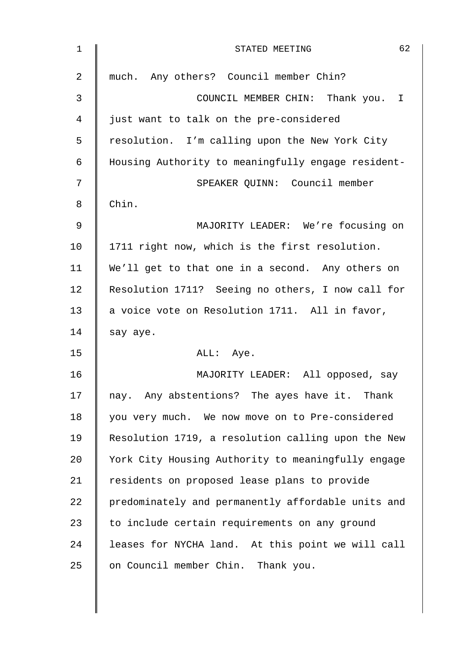| 1              | 62<br>STATED MEETING                               |
|----------------|----------------------------------------------------|
| $\overline{2}$ | much. Any others? Council member Chin?             |
| 3              | COUNCIL MEMBER CHIN: Thank you.<br>$\mathbf I$     |
| 4              | just want to talk on the pre-considered            |
| 5              | resolution. I'm calling upon the New York City     |
| 6              | Housing Authority to meaningfully engage resident- |
| 7              | SPEAKER QUINN: Council member                      |
| 8              | Chin.                                              |
| 9              | MAJORITY LEADER: We're focusing on                 |
| 10             | 1711 right now, which is the first resolution.     |
| 11             | We'll get to that one in a second. Any others on   |
| 12             | Resolution 1711? Seeing no others, I now call for  |
| 13             | a voice vote on Resolution 1711. All in favor,     |
| 14             | say aye.                                           |
| 15             | ALL: Aye.                                          |
| 16             | MAJORITY LEADER: All opposed, say                  |
| 17             | nay. Any abstentions? The ayes have it. Thank      |
| 18             | you very much. We now move on to Pre-considered    |
| 19             | Resolution 1719, a resolution calling upon the New |
| 20             | York City Housing Authority to meaningfully engage |
| 21             | residents on proposed lease plans to provide       |
| 22             | predominately and permanently affordable units and |
| 23             | to include certain requirements on any ground      |
| 24             | leases for NYCHA land. At this point we will call  |
| 25             | on Council member Chin. Thank you.                 |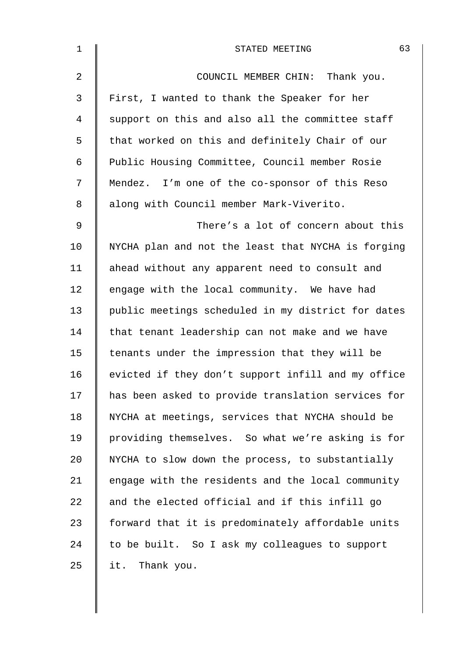| $\mathbf 1$    | 63<br>STATED MEETING                               |
|----------------|----------------------------------------------------|
| $\overline{a}$ | COUNCIL MEMBER CHIN: Thank you.                    |
| $\mathfrak{Z}$ | First, I wanted to thank the Speaker for her       |
| 4              | support on this and also all the committee staff   |
| 5              | that worked on this and definitely Chair of our    |
| 6              | Public Housing Committee, Council member Rosie     |
| 7              | Mendez. I'm one of the co-sponsor of this Reso     |
| 8              | along with Council member Mark-Viverito.           |
| 9              | There's a lot of concern about this                |
| 10             | NYCHA plan and not the least that NYCHA is forging |
| 11             | ahead without any apparent need to consult and     |
| 12             | engage with the local community. We have had       |
| 13             | public meetings scheduled in my district for dates |
| 14             | that tenant leadership can not make and we have    |
| 15             | tenants under the impression that they will be     |
| 16             | evicted if they don't support infill and my office |
| 17             | has been asked to provide translation services for |
| 18             | NYCHA at meetings, services that NYCHA should be   |
| 19             | providing themselves. So what we're asking is for  |
| 20             | NYCHA to slow down the process, to substantially   |
| 21             | engage with the residents and the local community  |
| 22             | and the elected official and if this infill go     |
| 23             | forward that it is predominately affordable units  |
| 24             | to be built. So I ask my colleagues to support     |
| 25             | it. Thank you.                                     |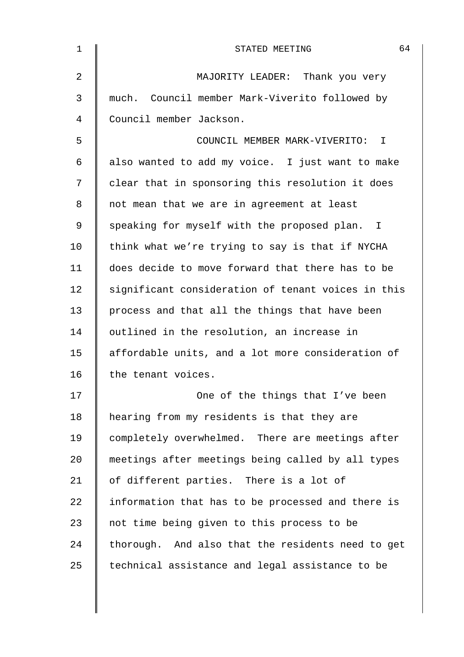| 1              | 64<br>STATED MEETING                               |
|----------------|----------------------------------------------------|
| $\overline{2}$ | MAJORITY LEADER: Thank you very                    |
| 3              | much. Council member Mark-Viverito followed by     |
| 4              | Council member Jackson.                            |
| 5              | COUNCIL MEMBER MARK-VIVERITO: I                    |
| 6              | also wanted to add my voice. I just want to make   |
| 7              | clear that in sponsoring this resolution it does   |
| 8              | not mean that we are in agreement at least         |
| 9              | speaking for myself with the proposed plan. I      |
| 10             | think what we're trying to say is that if NYCHA    |
| 11             | does decide to move forward that there has to be   |
| 12             | significant consideration of tenant voices in this |
| 13             | process and that all the things that have been     |
| 14             | outlined in the resolution, an increase in         |
| 15             | affordable units, and a lot more consideration of  |
| 16             | the tenant voices.                                 |
| 17             | One of the things that I've been                   |
| 18             | hearing from my residents is that they are         |
| 19             | completely overwhelmed. There are meetings after   |
| 20             | meetings after meetings being called by all types  |
| 21             | of different parties. There is a lot of            |
| 22             | information that has to be processed and there is  |
| 23             | not time being given to this process to be         |
| 24             | thorough. And also that the residents need to get  |
| 25             | technical assistance and legal assistance to be    |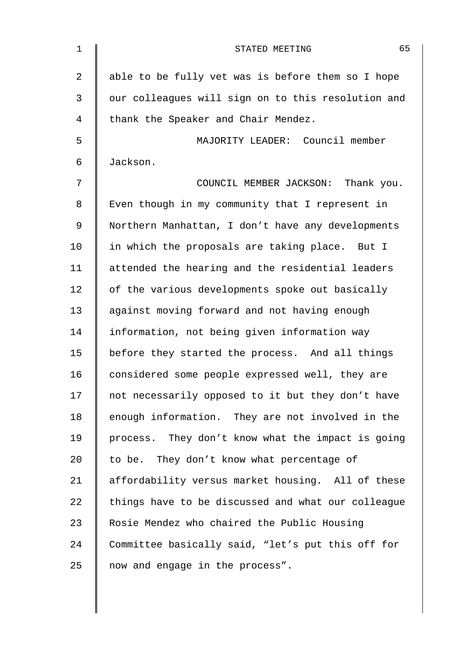| $\mathbf 1$ | 65<br>STATED MEETING                               |
|-------------|----------------------------------------------------|
| 2           | able to be fully vet was is before them so I hope  |
| 3           | our colleagues will sign on to this resolution and |
| 4           | thank the Speaker and Chair Mendez.                |
| 5           | MAJORITY LEADER: Council member                    |
| 6           | Jackson.                                           |
| 7           | COUNCIL MEMBER JACKSON: Thank you.                 |
| 8           | Even though in my community that I represent in    |
| 9           | Northern Manhattan, I don't have any developments  |
| 10          | in which the proposals are taking place. But I     |
| 11          | attended the hearing and the residential leaders   |
| 12          | of the various developments spoke out basically    |
| 13          | against moving forward and not having enough       |
| 14          | information, not being given information way       |
| 15          | before they started the process. And all things    |
| 16          | considered some people expressed well, they are    |
| 17          | not necessarily opposed to it but they don't have  |
| 18          | enough information. They are not involved in the   |
| 19          | process. They don't know what the impact is going  |
| 20          | to be. They don't know what percentage of          |
| 21          | affordability versus market housing. All of these  |
| 22          | things have to be discussed and what our colleague |
| 23          | Rosie Mendez who chaired the Public Housing        |
| 24          | Committee basically said, "let's put this off for  |
| 25          | now and engage in the process".                    |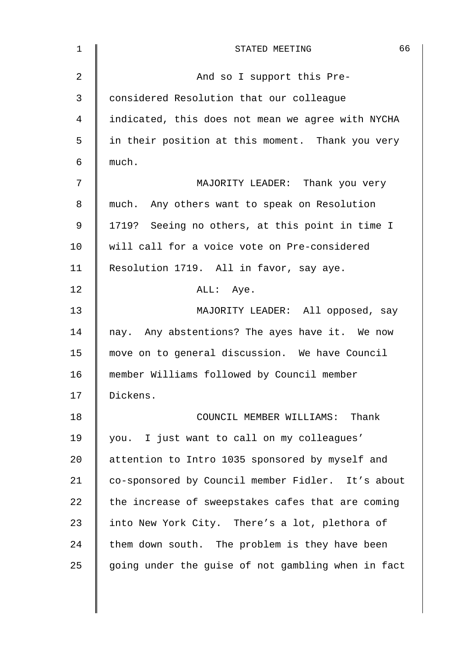| $\mathbf 1$    | 66<br>STATED MEETING                               |
|----------------|----------------------------------------------------|
| $\overline{2}$ | And so I support this Pre-                         |
| 3              | considered Resolution that our colleague           |
| 4              | indicated, this does not mean we agree with NYCHA  |
| 5              | in their position at this moment. Thank you very   |
| 6              | much.                                              |
| 7              | MAJORITY LEADER: Thank you very                    |
| 8              | much. Any others want to speak on Resolution       |
| 9              | 1719? Seeing no others, at this point in time I    |
| 10             | will call for a voice vote on Pre-considered       |
| 11             | Resolution 1719. All in favor, say aye.            |
| 12             | ALL: Aye.                                          |
| 13             | MAJORITY LEADER: All opposed, say                  |
| 14             | nay. Any abstentions? The ayes have it. We now     |
| 15             | move on to general discussion. We have Council     |
| 16             | member Williams followed by Council member         |
| 17             | Dickens.                                           |
| 18             | COUNCIL MEMBER WILLIAMS: Thank                     |
| 19             | you. I just want to call on my colleagues'         |
| 20             | attention to Intro 1035 sponsored by myself and    |
| 21             | co-sponsored by Council member Fidler. It's about  |
| 22             | the increase of sweepstakes cafes that are coming  |
| 23             | into New York City. There's a lot, plethora of     |
| 24             | them down south. The problem is they have been     |
| 25             | going under the guise of not gambling when in fact |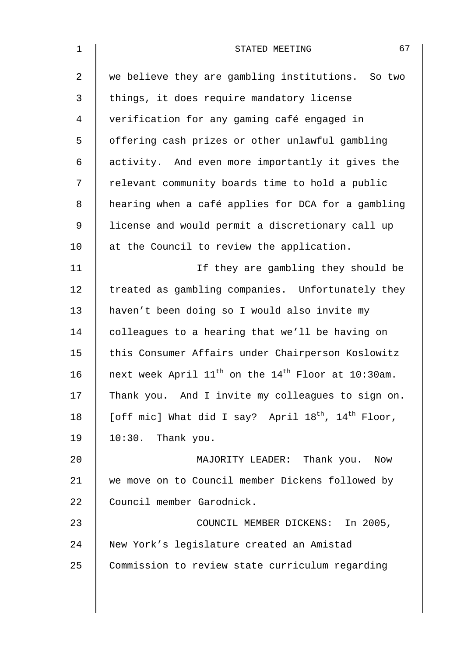| $\mathbf{1}$ | 67<br>STATED MEETING                                                       |
|--------------|----------------------------------------------------------------------------|
| 2            | we believe they are gambling institutions. So two                          |
| 3            | things, it does require mandatory license                                  |
| 4            | verification for any gaming café engaged in                                |
| 5            | offering cash prizes or other unlawful gambling                            |
| 6            | activity. And even more importantly it gives the                           |
| 7            | relevant community boards time to hold a public                            |
| 8            | hearing when a café applies for DCA for a gambling                         |
| 9            | license and would permit a discretionary call up                           |
| 10           | at the Council to review the application.                                  |
| 11           | If they are gambling they should be                                        |
| 12           | treated as gambling companies. Unfortunately they                          |
| 13           | haven't been doing so I would also invite my                               |
| 14           | colleagues to a hearing that we'll be having on                            |
| 15           | this Consumer Affairs under Chairperson Koslowitz                          |
| 16           | next week April $11^{th}$ on the $14^{th}$ Floor at 10:30am.               |
| 17           | Thank you. And I invite my colleagues to sign on.                          |
| 18           | [off mic] What did I say? April 18 <sup>th</sup> , 14 <sup>th</sup> Floor, |
| 19           | 10:30. Thank you.                                                          |
| 20           | MAJORITY LEADER: Thank you. Now                                            |
| 21           | we move on to Council member Dickens followed by                           |
| 22           | Council member Garodnick.                                                  |
| 23           | COUNCIL MEMBER DICKENS: In 2005,                                           |
| 24           | New York's legislature created an Amistad                                  |
| 25           | Commission to review state curriculum regarding                            |
|              |                                                                            |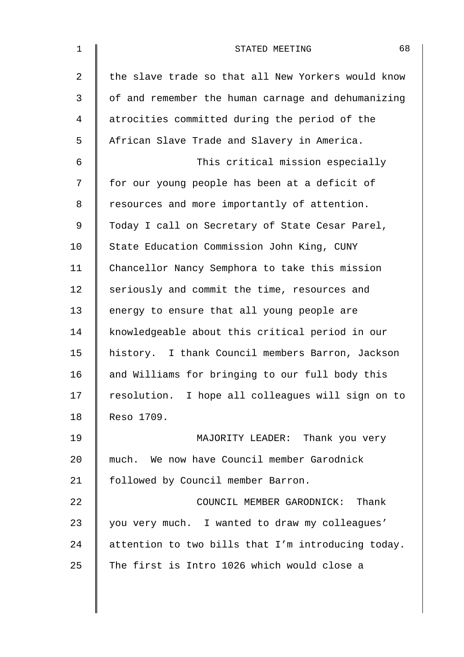| $\mathbf 1$    | 68<br>STATED MEETING                               |
|----------------|----------------------------------------------------|
| $\overline{2}$ | the slave trade so that all New Yorkers would know |
| 3              | of and remember the human carnage and dehumanizing |
| 4              | atrocities committed during the period of the      |
| 5              | African Slave Trade and Slavery in America.        |
| 6              | This critical mission especially                   |
| 7              | for our young people has been at a deficit of      |
| 8              | resources and more importantly of attention.       |
| 9              | Today I call on Secretary of State Cesar Parel,    |
| 10             | State Education Commission John King, CUNY         |
| 11             | Chancellor Nancy Semphora to take this mission     |
| 12             | seriously and commit the time, resources and       |
| 13             | energy to ensure that all young people are         |
| 14             | knowledgeable about this critical period in our    |
| 15             | history. I thank Council members Barron, Jackson   |
| 16             | and Williams for bringing to our full body this    |
| 17             | resolution. I hope all colleagues will sign on to  |
| 18             | Reso 1709.                                         |
| 19             | MAJORITY LEADER: Thank you very                    |
| 20             | much. We now have Council member Garodnick         |
| 21             | followed by Council member Barron.                 |
| 22             | COUNCIL MEMBER GARODNICK: Thank                    |
| 23             | you very much. I wanted to draw my colleagues'     |
| 24             | attention to two bills that I'm introducing today. |
| 25             | The first is Intro 1026 which would close a        |
|                |                                                    |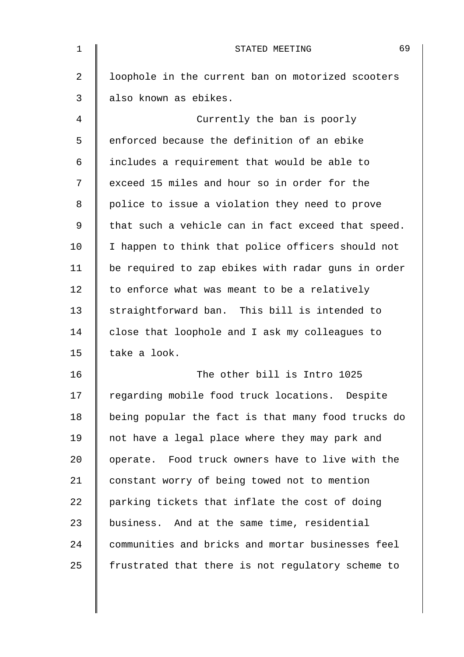| $\mathbf 1$    | 69<br>STATED MEETING                               |
|----------------|----------------------------------------------------|
| $\overline{2}$ | loophole in the current ban on motorized scooters  |
| 3              | also known as ebikes.                              |
| 4              | Currently the ban is poorly                        |
| 5              | enforced because the definition of an ebike        |
| 6              | includes a requirement that would be able to       |
| 7              | exceed 15 miles and hour so in order for the       |
| 8              | police to issue a violation they need to prove     |
| 9              | that such a vehicle can in fact exceed that speed. |
| 10             | I happen to think that police officers should not  |
| 11             | be required to zap ebikes with radar guns in order |
| 12             | to enforce what was meant to be a relatively       |
| 13             | straightforward ban. This bill is intended to      |
| 14             | close that loophole and I ask my colleagues to     |
| 15             | take a look.                                       |
| 16             | The other bill is Intro 1025                       |
| 17             | regarding mobile food truck locations. Despite     |
| 18             | being popular the fact is that many food trucks do |
| 19             | not have a legal place where they may park and     |
| 20             | operate. Food truck owners have to live with the   |
| 21             | constant worry of being towed not to mention       |
| 22             | parking tickets that inflate the cost of doing     |
| 23             | business. And at the same time, residential        |
| 24             | communities and bricks and mortar businesses feel  |
| 25             | frustrated that there is not regulatory scheme to  |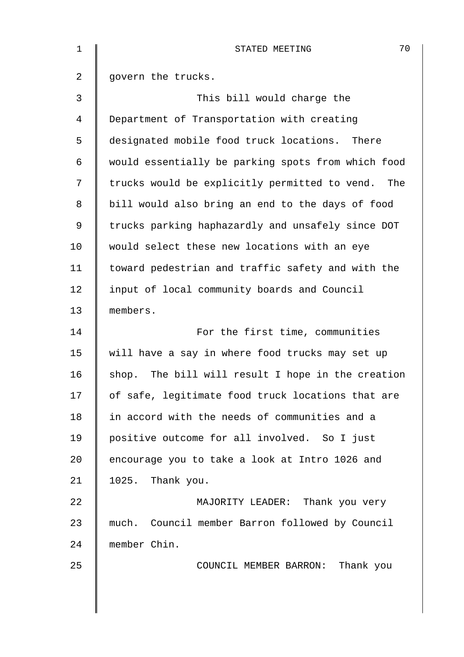| $\mathbf 1$    | 70<br>STATED MEETING                               |
|----------------|----------------------------------------------------|
| $\overline{a}$ | govern the trucks.                                 |
| 3              | This bill would charge the                         |
| $\overline{4}$ | Department of Transportation with creating         |
| 5              | designated mobile food truck locations.<br>There   |
| 6              | would essentially be parking spots from which food |
| 7              | trucks would be explicitly permitted to vend. The  |
| 8              | bill would also bring an end to the days of food   |
| $\mathsf 9$    | trucks parking haphazardly and unsafely since DOT  |
| 10             | would select these new locations with an eye       |
| 11             | toward pedestrian and traffic safety and with the  |
| 12             | input of local community boards and Council        |
| 13             | members.                                           |
| 14             | For the first time, communities                    |
| 15             | will have a say in where food trucks may set up    |
| 16             | shop. The bill will result I hope in the creation  |
| 17             | of safe, legitimate food truck locations that are  |
| 18             | in accord with the needs of communities and a      |
| 19             | positive outcome for all involved. So I just       |
| 20             | encourage you to take a look at Intro 1026 and     |
| 21             | 1025. Thank you.                                   |
| 22             | MAJORITY LEADER: Thank you very                    |
| 23             | much. Council member Barron followed by Council    |
| 24             | member Chin.                                       |
| 25             | COUNCIL MEMBER BARRON: Thank you                   |
|                |                                                    |
|                |                                                    |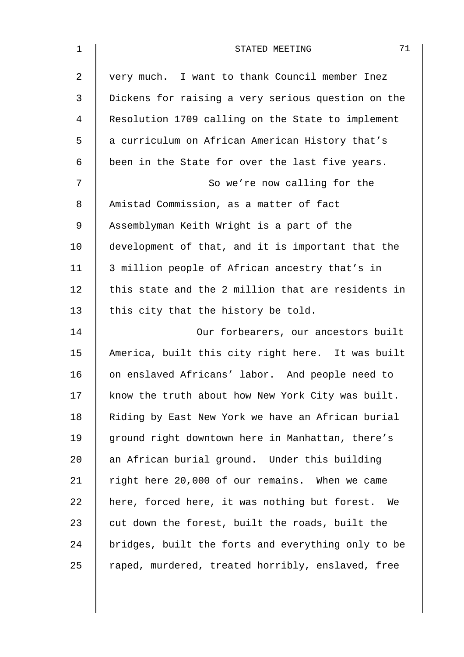| $\mathbf 1$ | 71<br>STATED MEETING                               |
|-------------|----------------------------------------------------|
| 2           | very much. I want to thank Council member Inez     |
| 3           | Dickens for raising a very serious question on the |
| 4           | Resolution 1709 calling on the State to implement  |
| 5           | a curriculum on African American History that's    |
| 6           | been in the State for over the last five years.    |
| 7           | So we're now calling for the                       |
| 8           | Amistad Commission, as a matter of fact            |
| 9           | Assemblyman Keith Wright is a part of the          |
| 10          | development of that, and it is important that the  |
| 11          | 3 million people of African ancestry that's in     |
| 12          | this state and the 2 million that are residents in |
| 13          | this city that the history be told.                |
| 14          | Our forbearers, our ancestors built                |
| 15          | America, built this city right here. It was built  |
| 16          | on enslaved Africans' labor. And people need to    |
| 17          | know the truth about how New York City was built.  |
| 18          | Riding by East New York we have an African burial  |
| 19          | ground right downtown here in Manhattan, there's   |
| 20          | an African burial ground. Under this building      |
| 21          | right here 20,000 of our remains. When we came     |
| 22          | here, forced here, it was nothing but forest. We   |
| 23          | cut down the forest, built the roads, built the    |
| 24          | bridges, built the forts and everything only to be |
| 25          | raped, murdered, treated horribly, enslaved, free  |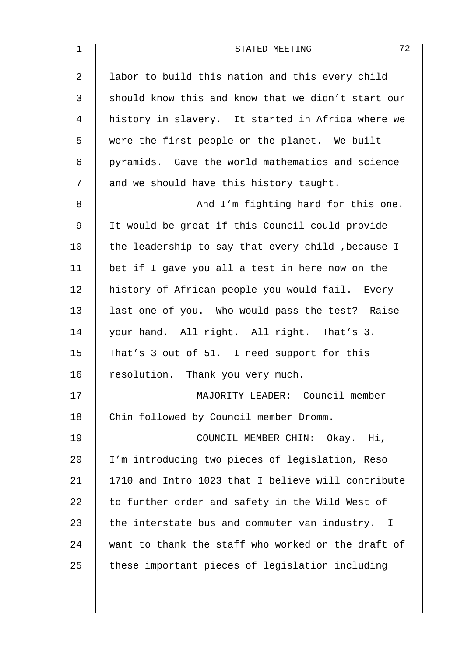| $\mathbf 1$    | 72<br>STATED MEETING                               |
|----------------|----------------------------------------------------|
| $\overline{2}$ | labor to build this nation and this every child    |
| 3              | should know this and know that we didn't start our |
| $\overline{4}$ | history in slavery. It started in Africa where we  |
| 5              | were the first people on the planet. We built      |
| 6              | pyramids. Gave the world mathematics and science   |
| 7              | and we should have this history taught.            |
| 8              | And I'm fighting hard for this one.                |
| $\mathsf 9$    | It would be great if this Council could provide    |
| 10             | the leadership to say that every child, because I  |
| 11             | bet if I gave you all a test in here now on the    |
| 12             | history of African people you would fail. Every    |
| 13             | last one of you. Who would pass the test? Raise    |
| 14             | your hand. All right. All right. That's 3.         |
| 15             | That's 3 out of 51. I need support for this        |
| 16             | resolution. Thank you very much.                   |
| 17             | MAJORITY LEADER: Council member                    |
| 18             | Chin followed by Council member Dromm.             |
| 19             | COUNCIL MEMBER CHIN: Okay. Hi,                     |
| 20             | I'm introducing two pieces of legislation, Reso    |
| 21             | 1710 and Intro 1023 that I believe will contribute |
| 22             | to further order and safety in the Wild West of    |
| 23             | the interstate bus and commuter van industry. I    |
| 24             | want to thank the staff who worked on the draft of |
| 25             | these important pieces of legislation including    |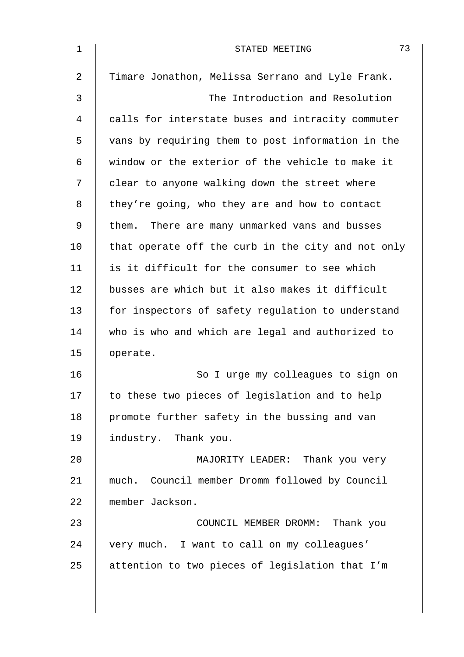| $\mathbf 1$    | 73<br>STATED MEETING                               |
|----------------|----------------------------------------------------|
| $\overline{2}$ | Timare Jonathon, Melissa Serrano and Lyle Frank.   |
| 3              | The Introduction and Resolution                    |
| 4              | calls for interstate buses and intracity commuter  |
| 5              | vans by requiring them to post information in the  |
| 6              | window or the exterior of the vehicle to make it   |
| 7              | clear to anyone walking down the street where      |
| 8              | they're going, who they are and how to contact     |
| 9              | them. There are many unmarked vans and busses      |
| 10             | that operate off the curb in the city and not only |
| 11             | is it difficult for the consumer to see which      |
| 12             | busses are which but it also makes it difficult    |
| 13             | for inspectors of safety regulation to understand  |
| 14             | who is who and which are legal and authorized to   |
| 15             | operate.                                           |
| 16             | So I urge my colleagues to sign on                 |
| 17             | to these two pieces of legislation and to help     |
| 18             | promote further safety in the bussing and van      |
| 19             | industry. Thank you.                               |
| 20             | MAJORITY LEADER: Thank you very                    |
| 21             | much. Council member Dromm followed by Council     |
| 22             | member Jackson.                                    |
| 23             | COUNCIL MEMBER DROMM: Thank you                    |
| 24             | very much. I want to call on my colleagues'        |
| 25             | attention to two pieces of legislation that I'm    |
|                |                                                    |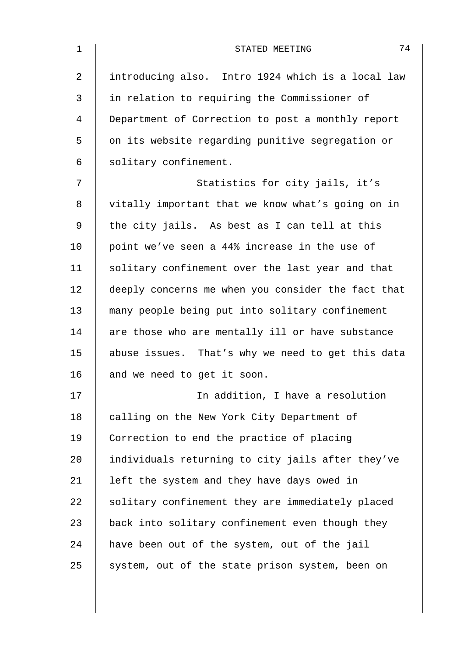| $\mathbf 1$ | 74<br>STATED MEETING                               |
|-------------|----------------------------------------------------|
| 2           | introducing also. Intro 1924 which is a local law  |
| 3           | in relation to requiring the Commissioner of       |
| 4           | Department of Correction to post a monthly report  |
| 5           | on its website regarding punitive segregation or   |
| 6           | solitary confinement.                              |
| 7           | Statistics for city jails, it's                    |
| 8           | vitally important that we know what's going on in  |
| 9           | the city jails. As best as I can tell at this      |
| 10          | point we've seen a 44% increase in the use of      |
| 11          | solitary confinement over the last year and that   |
| 12          | deeply concerns me when you consider the fact that |
| 13          | many people being put into solitary confinement    |
| 14          | are those who are mentally ill or have substance   |
| 15          | abuse issues. That's why we need to get this data  |
| 16          | and we need to get it soon.                        |
| 17          | In addition, I have a resolution                   |
| 18          | calling on the New York City Department of         |
| 19          | Correction to end the practice of placing          |
| 20          | individuals returning to city jails after they've  |
| 21          | left the system and they have days owed in         |
| 22          | solitary confinement they are immediately placed   |
| 23          | back into solitary confinement even though they    |
| 24          | have been out of the system, out of the jail       |
| 25          | system, out of the state prison system, been on    |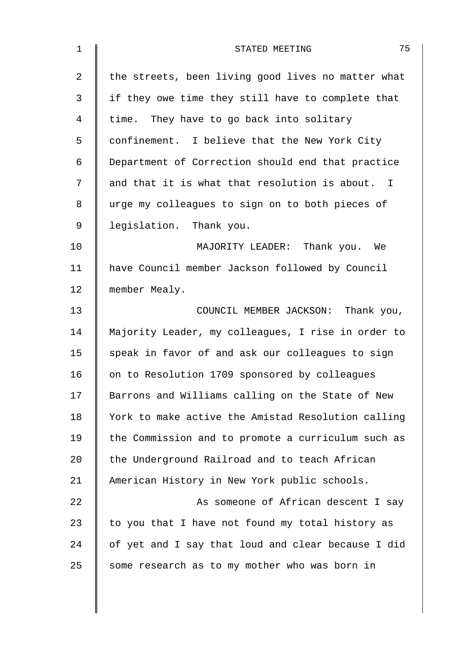| $\mathbf 1$    | 75<br>STATED MEETING                               |
|----------------|----------------------------------------------------|
| $\overline{2}$ | the streets, been living good lives no matter what |
| 3              | if they owe time they still have to complete that  |
| 4              | time. They have to go back into solitary           |
| 5              | confinement. I believe that the New York City      |
| 6              | Department of Correction should end that practice  |
| 7              | and that it is what that resolution is about. I    |
| 8              | urge my colleagues to sign on to both pieces of    |
| 9              | legislation. Thank you.                            |
| 10             | MAJORITY LEADER: Thank you. We                     |
| 11             | have Council member Jackson followed by Council    |
| 12             | member Mealy.                                      |
| 13             | COUNCIL MEMBER JACKSON: Thank you,                 |
| 14             | Majority Leader, my colleagues, I rise in order to |
| 15             | speak in favor of and ask our colleagues to sign   |
| 16             | on to Resolution 1709 sponsored by colleagues      |
| 17             | Barrons and Williams calling on the State of New   |
| 18             | York to make active the Amistad Resolution calling |
| 19             | the Commission and to promote a curriculum such as |
| 20             | the Underground Railroad and to teach African      |
| 21             | American History in New York public schools.       |
| 22             | As someone of African descent I say                |
| 23             | to you that I have not found my total history as   |
| 24             | of yet and I say that loud and clear because I did |
| 25             | some research as to my mother who was born in      |
|                |                                                    |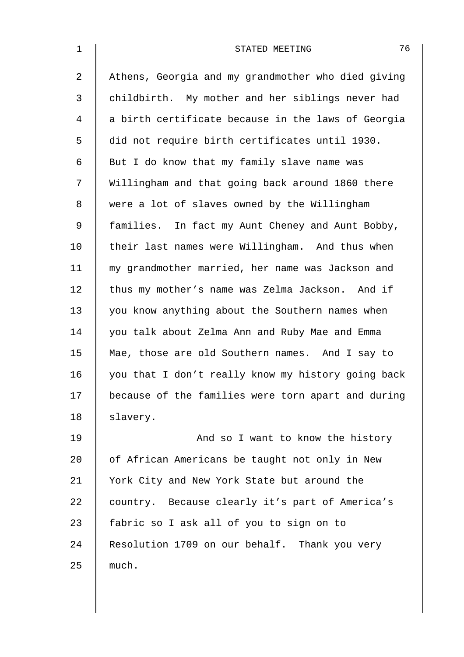| $\mathbf 1$    | 76<br>STATED MEETING                               |
|----------------|----------------------------------------------------|
| $\overline{2}$ | Athens, Georgia and my grandmother who died giving |
| 3              | childbirth. My mother and her siblings never had   |
| 4              | a birth certificate because in the laws of Georgia |
| 5              | did not require birth certificates until 1930.     |
| 6              | But I do know that my family slave name was        |
| 7              | Willingham and that going back around 1860 there   |
| 8              | were a lot of slaves owned by the Willingham       |
| 9              | families. In fact my Aunt Cheney and Aunt Bobby,   |
| 10             | their last names were Willingham. And thus when    |
| 11             | my grandmother married, her name was Jackson and   |
| 12             | thus my mother's name was Zelma Jackson. And if    |
| 13             | you know anything about the Southern names when    |
| 14             | you talk about Zelma Ann and Ruby Mae and Emma     |
| 15             | Mae, those are old Southern names. And I say to    |
| 16             | you that I don't really know my history going back |
| 17             | because of the families were torn apart and during |
| 18             | slavery.                                           |
| 19             | And so I want to know the history                  |
| 20             | of African Americans be taught not only in New     |
| 21             | York City and New York State but around the        |
| 22             | country. Because clearly it's part of America's    |
| 23             | fabric so I ask all of you to sign on to           |
| 24             | Resolution 1709 on our behalf. Thank you very      |
| 25             | much.                                              |
|                |                                                    |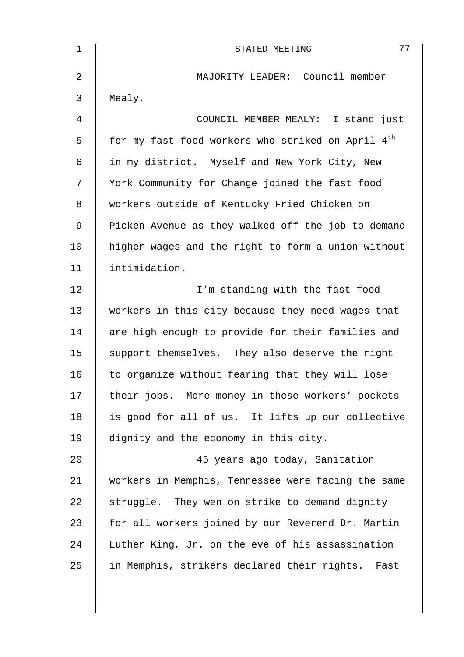| $\mathbf 1$ | 77<br>STATED MEETING                                          |
|-------------|---------------------------------------------------------------|
| 2           | MAJORITY LEADER: Council member                               |
| 3           | Mealy.                                                        |
| 4           | COUNCIL MEMBER MEALY: I stand just                            |
| 5           | for my fast food workers who striked on April 4 <sup>th</sup> |
| 6           | in my district. Myself and New York City, New                 |
| 7           | York Community for Change joined the fast food                |
| 8           | workers outside of Kentucky Fried Chicken on                  |
| 9           | Picken Avenue as they walked off the job to demand            |
| 10          | higher wages and the right to form a union without            |
| 11          | intimidation.                                                 |
| 12          | I'm standing with the fast food                               |
| 13          | workers in this city because they need wages that             |
| 14          | are high enough to provide for their families and             |
| 15          | support themselves. They also deserve the right               |
| 16          | to organize without fearing that they will lose               |
| 17          | their jobs. More money in these workers' pockets              |
| 18          | is good for all of us. It lifts up our collective             |
| 19          | dignity and the economy in this city.                         |
| 20          | 45 years ago today, Sanitation                                |
| 21          | workers in Memphis, Tennessee were facing the same            |
| 22          | struggle. They wen on strike to demand dignity                |
| 23          | for all workers joined by our Reverend Dr. Martin             |
| 24          | Luther King, Jr. on the eve of his assassination              |
| 25          | in Memphis, strikers declared their rights. Fast              |
|             |                                                               |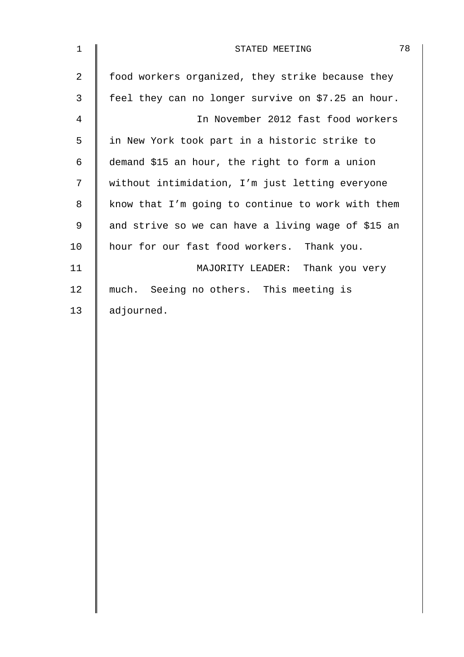| $\mathbf 1$    | 78<br>STATED MEETING                               |
|----------------|----------------------------------------------------|
| $\overline{2}$ | food workers organized, they strike because they   |
| 3              | feel they can no longer survive on \$7.25 an hour. |
| 4              | In November 2012 fast food workers                 |
| 5              | in New York took part in a historic strike to      |
| 6              | demand \$15 an hour, the right to form a union     |
| 7              | without intimidation, I'm just letting everyone    |
| 8              | know that I'm going to continue to work with them  |
| 9              | and strive so we can have a living wage of \$15 an |
| 10             | hour for our fast food workers. Thank you.         |
| 11             | MAJORITY LEADER: Thank you very                    |
| 12             | much. Seeing no others. This meeting is            |
| 13             | adjourned.                                         |
|                |                                                    |
|                |                                                    |
|                |                                                    |
|                |                                                    |
|                |                                                    |
|                |                                                    |
|                |                                                    |
|                |                                                    |
|                |                                                    |
|                |                                                    |
|                |                                                    |
|                |                                                    |
|                |                                                    |